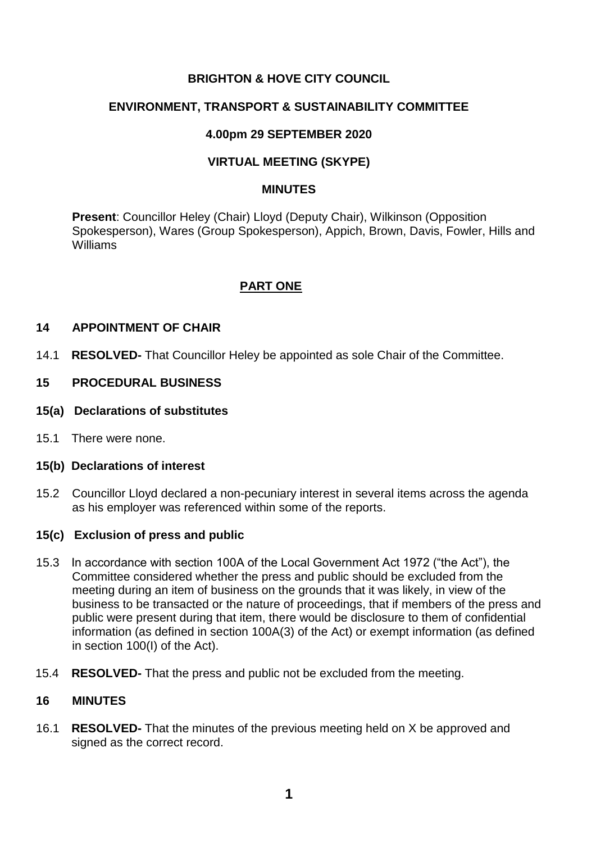# **BRIGHTON & HOVE CITY COUNCIL**

## **ENVIRONMENT, TRANSPORT & SUSTAINABILITY COMMITTEE**

## **4.00pm 29 SEPTEMBER 2020**

# **VIRTUAL MEETING (SKYPE)**

#### **MINUTES**

**Present**: Councillor Heley (Chair) Lloyd (Deputy Chair), Wilkinson (Opposition Spokesperson), Wares (Group Spokesperson), Appich, Brown, Davis, Fowler, Hills and Williams

# **PART ONE**

#### **14 APPOINTMENT OF CHAIR**

14.1 **RESOLVED-** That Councillor Heley be appointed as sole Chair of the Committee.

#### **15 PROCEDURAL BUSINESS**

- **15(a) Declarations of substitutes**
- 15.1 There were none.

#### **15(b) Declarations of interest**

15.2 Councillor Lloyd declared a non-pecuniary interest in several items across the agenda as his employer was referenced within some of the reports.

## **15(c) Exclusion of press and public**

- 15.3 In accordance with section 100A of the Local Government Act 1972 ("the Act"), the Committee considered whether the press and public should be excluded from the meeting during an item of business on the grounds that it was likely, in view of the business to be transacted or the nature of proceedings, that if members of the press and public were present during that item, there would be disclosure to them of confidential information (as defined in section 100A(3) of the Act) or exempt information (as defined in section 100(I) of the Act).
- 15.4 **RESOLVED-** That the press and public not be excluded from the meeting.

#### **16 MINUTES**

16.1 **RESOLVED-** That the minutes of the previous meeting held on X be approved and signed as the correct record.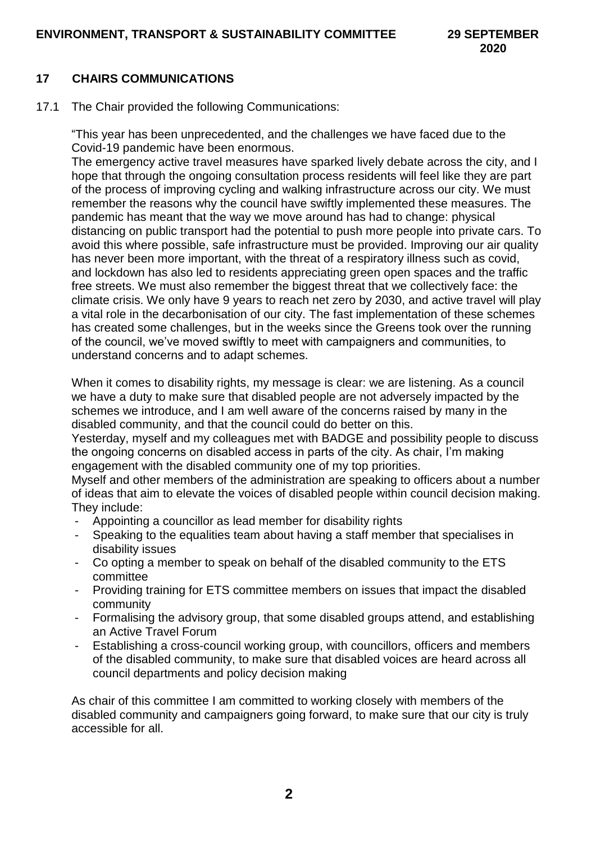# **17 CHAIRS COMMUNICATIONS**

17.1 The Chair provided the following Communications:

"This year has been unprecedented, and the challenges we have faced due to the Covid-19 pandemic have been enormous.

The emergency active travel measures have sparked lively debate across the city, and I hope that through the ongoing consultation process residents will feel like they are part of the process of improving cycling and walking infrastructure across our city. We must remember the reasons why the council have swiftly implemented these measures. The pandemic has meant that the way we move around has had to change: physical distancing on public transport had the potential to push more people into private cars. To avoid this where possible, safe infrastructure must be provided. Improving our air quality has never been more important, with the threat of a respiratory illness such as covid, and lockdown has also led to residents appreciating green open spaces and the traffic free streets. We must also remember the biggest threat that we collectively face: the climate crisis. We only have 9 years to reach net zero by 2030, and active travel will play a vital role in the decarbonisation of our city. The fast implementation of these schemes has created some challenges, but in the weeks since the Greens took over the running of the council, we've moved swiftly to meet with campaigners and communities, to understand concerns and to adapt schemes.

When it comes to disability rights, my message is clear: we are listening. As a council we have a duty to make sure that disabled people are not adversely impacted by the schemes we introduce, and I am well aware of the concerns raised by many in the disabled community, and that the council could do better on this.

Yesterday, myself and my colleagues met with BADGE and possibility people to discuss the ongoing concerns on disabled access in parts of the city. As chair, I'm making engagement with the disabled community one of my top priorities.

Myself and other members of the administration are speaking to officers about a number of ideas that aim to elevate the voices of disabled people within council decision making. They include:

- Appointing a councillor as lead member for disability rights
- Speaking to the equalities team about having a staff member that specialises in disability issues
- Co opting a member to speak on behalf of the disabled community to the ETS committee
- Providing training for ETS committee members on issues that impact the disabled community
- Formalising the advisory group, that some disabled groups attend, and establishing an Active Travel Forum
- Establishing a cross-council working group, with councillors, officers and members of the disabled community, to make sure that disabled voices are heard across all council departments and policy decision making

As chair of this committee I am committed to working closely with members of the disabled community and campaigners going forward, to make sure that our city is truly accessible for all.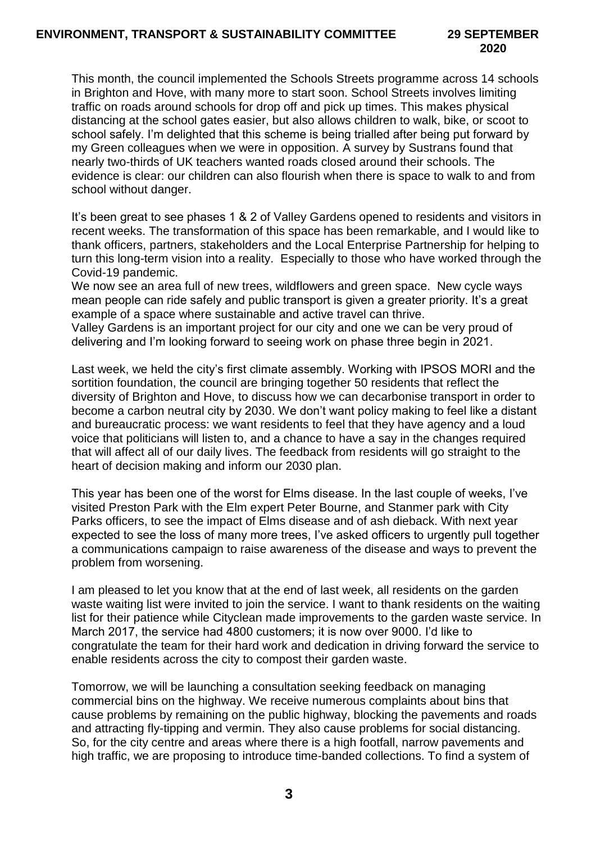# **2020**

This month, the council implemented the Schools Streets programme across 14 schools in Brighton and Hove, with many more to start soon. School Streets involves limiting traffic on roads around schools for drop off and pick up times. This makes physical distancing at the school gates easier, but also allows children to walk, bike, or scoot to school safely. I'm delighted that this scheme is being trialled after being put forward by my Green colleagues when we were in opposition. A survey by Sustrans found that nearly two-thirds of UK teachers wanted roads closed around their schools. The evidence is clear: our children can also flourish when there is space to walk to and from school without danger.

It's been great to see phases 1 & 2 of Valley Gardens opened to residents and visitors in recent weeks. The transformation of this space has been remarkable, and I would like to thank officers, partners, stakeholders and the Local Enterprise Partnership for helping to turn this long-term vision into a reality. Especially to those who have worked through the Covid-19 pandemic.

We now see an area full of new trees, wildflowers and green space. New cycle ways mean people can ride safely and public transport is given a greater priority. It's a great example of a space where sustainable and active travel can thrive.

Valley Gardens is an important project for our city and one we can be very proud of delivering and I'm looking forward to seeing work on phase three begin in 2021.

Last week, we held the city's first climate assembly. Working with IPSOS MORI and the sortition foundation, the council are bringing together 50 residents that reflect the diversity of Brighton and Hove, to discuss how we can decarbonise transport in order to become a carbon neutral city by 2030. We don't want policy making to feel like a distant and bureaucratic process: we want residents to feel that they have agency and a loud voice that politicians will listen to, and a chance to have a say in the changes required that will affect all of our daily lives. The feedback from residents will go straight to the heart of decision making and inform our 2030 plan.

This year has been one of the worst for Elms disease. In the last couple of weeks, I've visited Preston Park with the Elm expert Peter Bourne, and Stanmer park with City Parks officers, to see the impact of Elms disease and of ash dieback. With next year expected to see the loss of many more trees, I've asked officers to urgently pull together a communications campaign to raise awareness of the disease and ways to prevent the problem from worsening.

I am pleased to let you know that at the end of last week, all residents on the garden waste waiting list were invited to join the service. I want to thank residents on the waiting list for their patience while Cityclean made improvements to the garden waste service. In March 2017, the service had 4800 customers; it is now over 9000. I'd like to congratulate the team for their hard work and dedication in driving forward the service to enable residents across the city to compost their garden waste.

Tomorrow, we will be launching a consultation seeking feedback on managing commercial bins on the highway. We receive numerous complaints about bins that cause problems by remaining on the public highway, blocking the pavements and roads and attracting fly-tipping and vermin. They also cause problems for social distancing. So, for the city centre and areas where there is a high footfall, narrow pavements and high traffic, we are proposing to introduce time-banded collections. To find a system of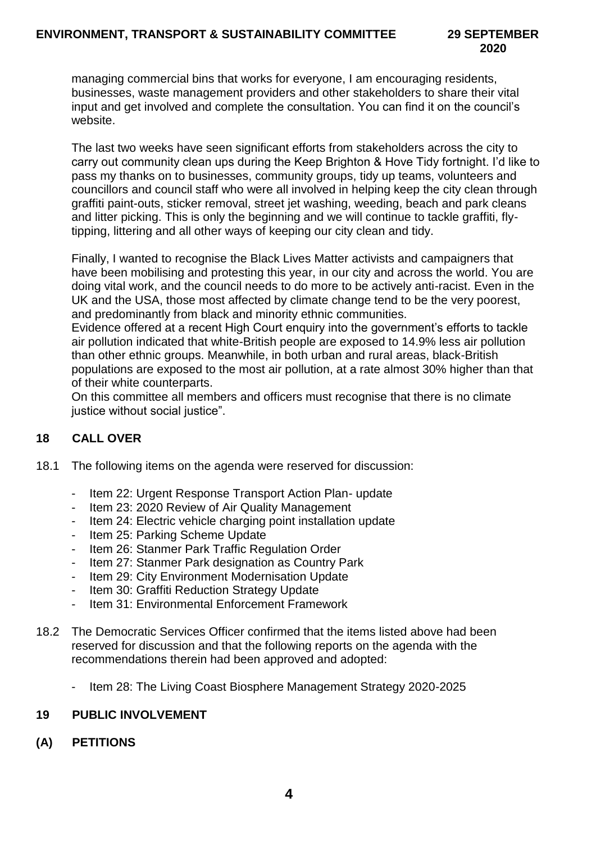managing commercial bins that works for everyone, I am encouraging residents, businesses, waste management providers and other stakeholders to share their vital input and get involved and complete the consultation. You can find it on the council's website.

The last two weeks have seen significant efforts from stakeholders across the city to carry out community clean ups during the Keep Brighton & Hove Tidy fortnight. I'd like to pass my thanks on to businesses, community groups, tidy up teams, volunteers and councillors and council staff who were all involved in helping keep the city clean through graffiti paint-outs, sticker removal, street jet washing, weeding, beach and park cleans and litter picking. This is only the beginning and we will continue to tackle graffiti, flytipping, littering and all other ways of keeping our city clean and tidy.

Finally, I wanted to recognise the Black Lives Matter activists and campaigners that have been mobilising and protesting this year, in our city and across the world. You are doing vital work, and the council needs to do more to be actively anti-racist. Even in the UK and the USA, those most affected by climate change tend to be the very poorest, and predominantly from black and minority ethnic communities.

Evidence offered at a recent High Court enquiry into the government's efforts to tackle air pollution indicated that white-British people are exposed to 14.9% less air pollution than other ethnic groups. Meanwhile, in both urban and rural areas, black-British populations are exposed to the most air pollution, at a rate almost 30% higher than that of their white counterparts.

On this committee all members and officers must recognise that there is no climate justice without social justice".

# **18 CALL OVER**

- 18.1 The following items on the agenda were reserved for discussion:
	- Item 22: Urgent Response Transport Action Plan- update
	- Item 23: 2020 Review of Air Quality Management
	- Item 24: Electric vehicle charging point installation update
	- Item 25: Parking Scheme Update
	- Item 26: Stanmer Park Traffic Regulation Order
	- Item 27: Stanmer Park designation as Country Park
	- Item 29: City Environment Modernisation Update
	- Item 30: Graffiti Reduction Strategy Update
	- Item 31: Environmental Enforcement Framework
- 18.2 The Democratic Services Officer confirmed that the items listed above had been reserved for discussion and that the following reports on the agenda with the recommendations therein had been approved and adopted:
	- Item 28: The Living Coast Biosphere Management Strategy 2020-2025

## **19 PUBLIC INVOLVEMENT**

**(A) PETITIONS**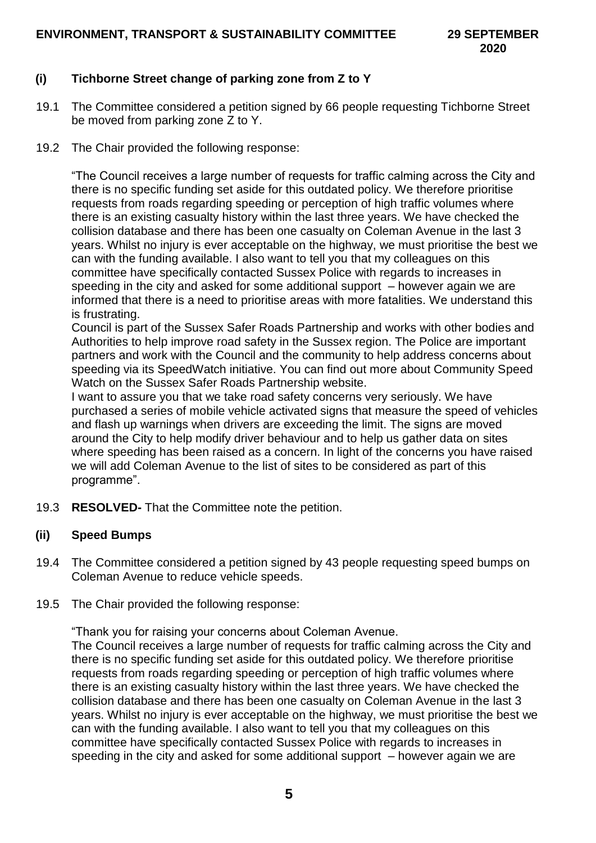# **(i) Tichborne Street change of parking zone from Z to Y**

- 19.1 The Committee considered a petition signed by 66 people requesting Tichborne Street be moved from parking zone Z to Y.
- 19.2 The Chair provided the following response:

"The Council receives a large number of requests for traffic calming across the City and there is no specific funding set aside for this outdated policy. We therefore prioritise requests from roads regarding speeding or perception of high traffic volumes where there is an existing casualty history within the last three years. We have checked the collision database and there has been one casualty on Coleman Avenue in the last 3 years. Whilst no injury is ever acceptable on the highway, we must prioritise the best we can with the funding available. I also want to tell you that my colleagues on this committee have specifically contacted Sussex Police with regards to increases in speeding in the city and asked for some additional support – however again we are informed that there is a need to prioritise areas with more fatalities. We understand this is frustrating.

Council is part of the Sussex Safer Roads Partnership and works with other bodies and Authorities to help improve road safety in the Sussex region. The Police are important partners and work with the Council and the community to help address concerns about speeding via its SpeedWatch initiative. You can find out more about Community Speed Watch on the Sussex Safer Roads Partnership website.

I want to assure you that we take road safety concerns very seriously. We have purchased a series of mobile vehicle activated signs that measure the speed of vehicles and flash up warnings when drivers are exceeding the limit. The signs are moved around the City to help modify driver behaviour and to help us gather data on sites where speeding has been raised as a concern. In light of the concerns you have raised we will add Coleman Avenue to the list of sites to be considered as part of this programme".

19.3 **RESOLVED-** That the Committee note the petition.

## **(ii) Speed Bumps**

- 19.4 The Committee considered a petition signed by 43 people requesting speed bumps on Coleman Avenue to reduce vehicle speeds.
- 19.5 The Chair provided the following response:

"Thank you for raising your concerns about Coleman Avenue.

The Council receives a large number of requests for traffic calming across the City and there is no specific funding set aside for this outdated policy. We therefore prioritise requests from roads regarding speeding or perception of high traffic volumes where there is an existing casualty history within the last three years. We have checked the collision database and there has been one casualty on Coleman Avenue in the last 3 years. Whilst no injury is ever acceptable on the highway, we must prioritise the best we can with the funding available. I also want to tell you that my colleagues on this committee have specifically contacted Sussex Police with regards to increases in speeding in the city and asked for some additional support – however again we are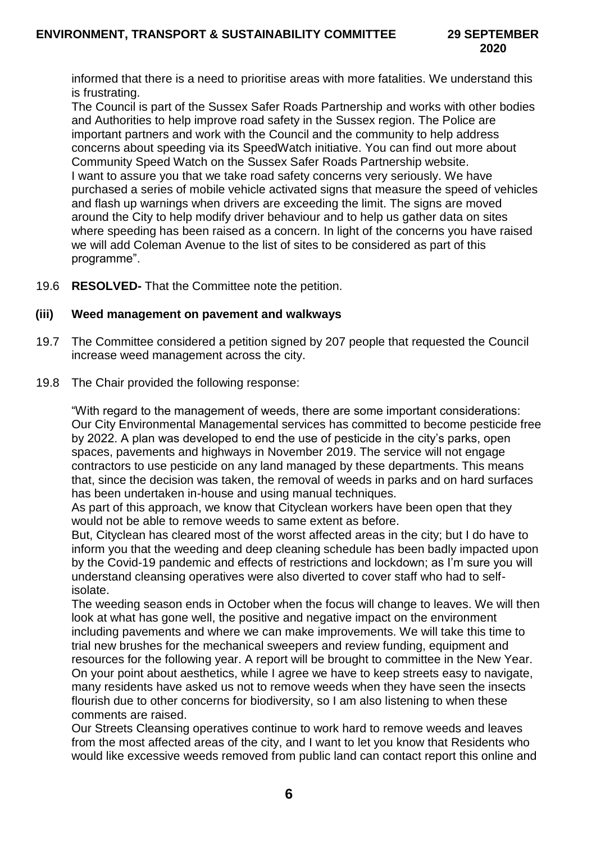informed that there is a need to prioritise areas with more fatalities. We understand this is frustrating.

The Council is part of the Sussex Safer Roads Partnership and works with other bodies and Authorities to help improve road safety in the Sussex region. The Police are important partners and work with the Council and the community to help address concerns about speeding via its SpeedWatch initiative. You can find out more about Community Speed Watch on the Sussex Safer Roads Partnership website. I want to assure you that we take road safety concerns very seriously. We have purchased a series of mobile vehicle activated signs that measure the speed of vehicles and flash up warnings when drivers are exceeding the limit. The signs are moved around the City to help modify driver behaviour and to help us gather data on sites where speeding has been raised as a concern. In light of the concerns you have raised we will add Coleman Avenue to the list of sites to be considered as part of this programme".

19.6 **RESOLVED-** That the Committee note the petition.

## **(iii) Weed management on pavement and walkways**

- 19.7 The Committee considered a petition signed by 207 people that requested the Council increase weed management across the city.
- 19.8 The Chair provided the following response:

"With regard to the management of weeds, there are some important considerations: Our City Environmental Managemental services has committed to become pesticide free by 2022. A plan was developed to end the use of pesticide in the city's parks, open spaces, pavements and highways in November 2019. The service will not engage contractors to use pesticide on any land managed by these departments. This means that, since the decision was taken, the removal of weeds in parks and on hard surfaces has been undertaken in-house and using manual techniques.

As part of this approach, we know that Cityclean workers have been open that they would not be able to remove weeds to same extent as before.

But, Cityclean has cleared most of the worst affected areas in the city; but I do have to inform you that the weeding and deep cleaning schedule has been badly impacted upon by the Covid-19 pandemic and effects of restrictions and lockdown; as I'm sure you will understand cleansing operatives were also diverted to cover staff who had to selfisolate.

The weeding season ends in October when the focus will change to leaves. We will then look at what has gone well, the positive and negative impact on the environment including pavements and where we can make improvements. We will take this time to trial new brushes for the mechanical sweepers and review funding, equipment and resources for the following year. A report will be brought to committee in the New Year. On your point about aesthetics, while I agree we have to keep streets easy to navigate, many residents have asked us not to remove weeds when they have seen the insects flourish due to other concerns for biodiversity, so I am also listening to when these comments are raised.

Our Streets Cleansing operatives continue to work hard to remove weeds and leaves from the most affected areas of the city, and I want to let you know that Residents who would like excessive weeds removed from public land can contact report this online and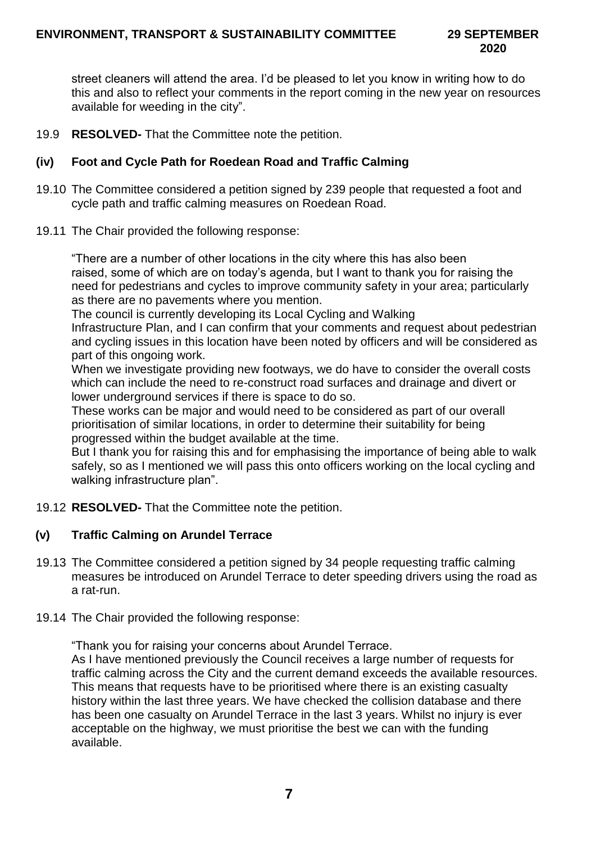street cleaners will attend the area. I'd be pleased to let you know in writing how to do this and also to reflect your comments in the report coming in the new year on resources available for weeding in the city".

19.9 **RESOLVED-** That the Committee note the petition.

## **(iv) Foot and Cycle Path for Roedean Road and Traffic Calming**

- 19.10 The Committee considered a petition signed by 239 people that requested a foot and cycle path and traffic calming measures on Roedean Road.
- 19.11 The Chair provided the following response:

"There are a number of other locations in the city where this has also been raised, some of which are on today's agenda, but I want to thank you for raising the need for pedestrians and cycles to improve community safety in your area; particularly as there are no pavements where you mention.

The council is currently developing its Local Cycling and Walking

Infrastructure Plan, and I can confirm that your comments and request about pedestrian and cycling issues in this location have been noted by officers and will be considered as part of this ongoing work.

When we investigate providing new footways, we do have to consider the overall costs which can include the need to re-construct road surfaces and drainage and divert or lower underground services if there is space to do so.

These works can be major and would need to be considered as part of our overall prioritisation of similar locations, in order to determine their suitability for being progressed within the budget available at the time.

But I thank you for raising this and for emphasising the importance of being able to walk safely, so as I mentioned we will pass this onto officers working on the local cycling and walking infrastructure plan".

19.12 **RESOLVED-** That the Committee note the petition.

## **(v) Traffic Calming on Arundel Terrace**

- 19.13 The Committee considered a petition signed by 34 people requesting traffic calming measures be introduced on Arundel Terrace to deter speeding drivers using the road as a rat-run.
- 19.14 The Chair provided the following response:

"Thank you for raising your concerns about Arundel Terrace.

As I have mentioned previously the Council receives a large number of requests for traffic calming across the City and the current demand exceeds the available resources. This means that requests have to be prioritised where there is an existing casualty history within the last three years. We have checked the collision database and there has been one casualty on Arundel Terrace in the last 3 years. Whilst no injury is ever acceptable on the highway, we must prioritise the best we can with the funding available.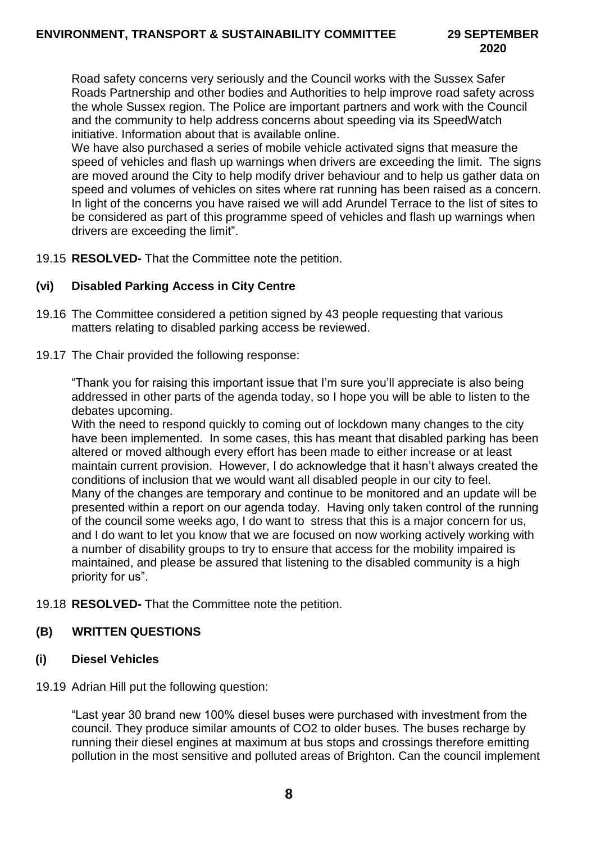Road safety concerns very seriously and the Council works with the Sussex Safer Roads Partnership and other bodies and Authorities to help improve road safety across the whole Sussex region. The Police are important partners and work with the Council and the community to help address concerns about speeding via its SpeedWatch initiative. Information about that is available online.

We have also purchased a series of mobile vehicle activated signs that measure the speed of vehicles and flash up warnings when drivers are exceeding the limit. The signs are moved around the City to help modify driver behaviour and to help us gather data on speed and volumes of vehicles on sites where rat running has been raised as a concern. In light of the concerns you have raised we will add Arundel Terrace to the list of sites to be considered as part of this programme speed of vehicles and flash up warnings when drivers are exceeding the limit".

19.15 **RESOLVED-** That the Committee note the petition.

## **(vi) Disabled Parking Access in City Centre**

- 19.16 The Committee considered a petition signed by 43 people requesting that various matters relating to disabled parking access be reviewed.
- 19.17 The Chair provided the following response:

"Thank you for raising this important issue that I'm sure you'll appreciate is also being addressed in other parts of the agenda today, so I hope you will be able to listen to the debates upcoming.

With the need to respond quickly to coming out of lockdown many changes to the city have been implemented. In some cases, this has meant that disabled parking has been altered or moved although every effort has been made to either increase or at least maintain current provision. However, I do acknowledge that it hasn't always created the conditions of inclusion that we would want all disabled people in our city to feel. Many of the changes are temporary and continue to be monitored and an update will be presented within a report on our agenda today. Having only taken control of the running of the council some weeks ago, I do want to stress that this is a major concern for us, and I do want to let you know that we are focused on now working actively working with a number of disability groups to try to ensure that access for the mobility impaired is maintained, and please be assured that listening to the disabled community is a high priority for us".

19.18 **RESOLVED-** That the Committee note the petition.

## **(B) WRITTEN QUESTIONS**

## **(i) Diesel Vehicles**

19.19 Adrian Hill put the following question:

"Last year 30 brand new 100% diesel buses were purchased with investment from the council. They produce similar amounts of CO2 to older buses. The buses recharge by running their diesel engines at maximum at bus stops and crossings therefore emitting pollution in the most sensitive and polluted areas of Brighton. Can the council implement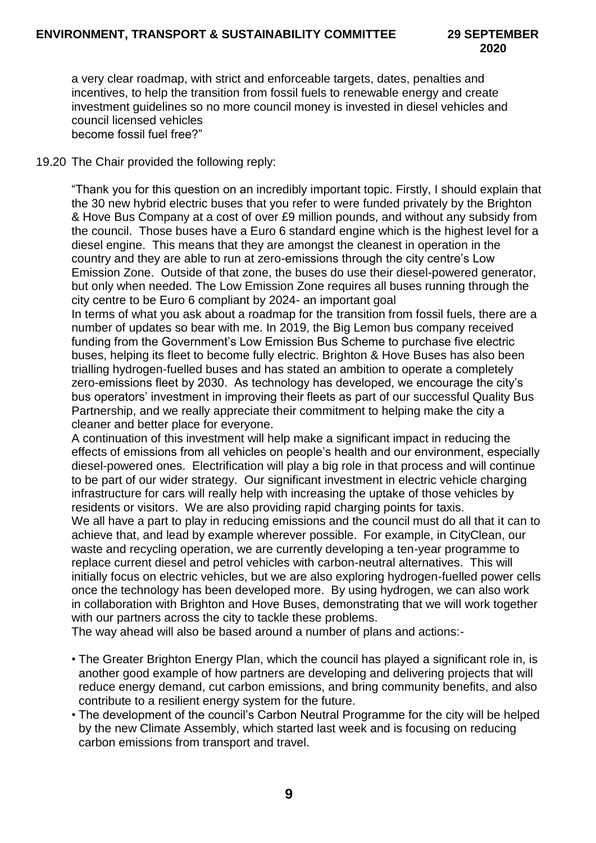a very clear roadmap, with strict and enforceable targets, dates, penalties and incentives, to help the transition from fossil fuels to renewable energy and create investment guidelines so no more council money is invested in diesel vehicles and council licensed vehicles become fossil fuel free?"

#### 19.20 The Chair provided the following reply:

"Thank you for this question on an incredibly important topic. Firstly, I should explain that the 30 new hybrid electric buses that you refer to were funded privately by the Brighton & Hove Bus Company at a cost of over £9 million pounds, and without any subsidy from the council. Those buses have a Euro 6 standard engine which is the highest level for a diesel engine. This means that they are amongst the cleanest in operation in the country and they are able to run at zero-emissions through the city centre's Low Emission Zone. Outside of that zone, the buses do use their diesel-powered generator, but only when needed. The Low Emission Zone requires all buses running through the city centre to be Euro 6 compliant by 2024- an important goal

In terms of what you ask about a roadmap for the transition from fossil fuels, there are a number of updates so bear with me. In 2019, the Big Lemon bus company received funding from the Government's Low Emission Bus Scheme to purchase five electric buses, helping its fleet to become fully electric. Brighton & Hove Buses has also been trialling hydrogen-fuelled buses and has stated an ambition to operate a completely zero-emissions fleet by 2030. As technology has developed, we encourage the city's bus operators' investment in improving their fleets as part of our successful Quality Bus Partnership, and we really appreciate their commitment to helping make the city a cleaner and better place for everyone.

A continuation of this investment will help make a significant impact in reducing the effects of emissions from all vehicles on people's health and our environment, especially diesel-powered ones. Electrification will play a big role in that process and will continue to be part of our wider strategy. Our significant investment in electric vehicle charging infrastructure for cars will really help with increasing the uptake of those vehicles by residents or visitors. We are also providing rapid charging points for taxis.

We all have a part to play in reducing emissions and the council must do all that it can to achieve that, and lead by example wherever possible. For example, in CityClean, our waste and recycling operation, we are currently developing a ten-year programme to replace current diesel and petrol vehicles with carbon-neutral alternatives. This will initially focus on electric vehicles, but we are also exploring hydrogen-fuelled power cells once the technology has been developed more. By using hydrogen, we can also work in collaboration with Brighton and Hove Buses, demonstrating that we will work together with our partners across the city to tackle these problems.

The way ahead will also be based around a number of plans and actions:-

- The Greater Brighton Energy Plan, which the council has played a significant role in, is another good example of how partners are developing and delivering projects that will reduce energy demand, cut carbon emissions, and bring community benefits, and also contribute to a resilient energy system for the future.
- The development of the council's Carbon Neutral Programme for the city will be helped by the new Climate Assembly, which started last week and is focusing on reducing carbon emissions from transport and travel.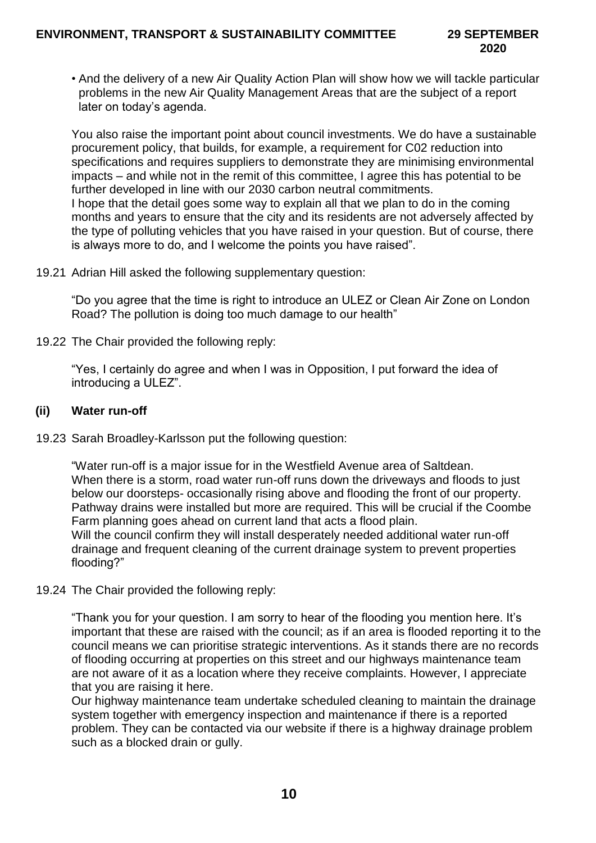• And the delivery of a new Air Quality Action Plan will show how we will tackle particular problems in the new Air Quality Management Areas that are the subject of a report later on today's agenda.

You also raise the important point about council investments. We do have a sustainable procurement policy, that builds, for example, a requirement for C02 reduction into specifications and requires suppliers to demonstrate they are minimising environmental impacts – and while not in the remit of this committee, I agree this has potential to be further developed in line with our 2030 carbon neutral commitments. I hope that the detail goes some way to explain all that we plan to do in the coming months and years to ensure that the city and its residents are not adversely affected by the type of polluting vehicles that you have raised in your question. But of course, there is always more to do, and I welcome the points you have raised".

19.21 Adrian Hill asked the following supplementary question:

"Do you agree that the time is right to introduce an ULEZ or Clean Air Zone on London Road? The pollution is doing too much damage to our health"

19.22 The Chair provided the following reply:

"Yes, I certainly do agree and when I was in Opposition, I put forward the idea of introducing a ULEZ".

#### **(ii) Water run-off**

19.23 Sarah Broadley-Karlsson put the following question:

"Water run-off is a major issue for in the Westfield Avenue area of Saltdean. When there is a storm, road water run-off runs down the driveways and floods to just below our doorsteps- occasionally rising above and flooding the front of our property. Pathway drains were installed but more are required. This will be crucial if the Coombe Farm planning goes ahead on current land that acts a flood plain. Will the council confirm they will install desperately needed additional water run-off

drainage and frequent cleaning of the current drainage system to prevent properties flooding?"

19.24 The Chair provided the following reply:

"Thank you for your question. I am sorry to hear of the flooding you mention here. It's important that these are raised with the council; as if an area is flooded reporting it to the council means we can prioritise strategic interventions. As it stands there are no records of flooding occurring at properties on this street and our highways maintenance team are not aware of it as a location where they receive complaints. However, I appreciate that you are raising it here.

Our highway maintenance team undertake scheduled cleaning to maintain the drainage system together with emergency inspection and maintenance if there is a reported problem. They can be contacted via our website if there is a highway drainage problem such as a blocked drain or gully.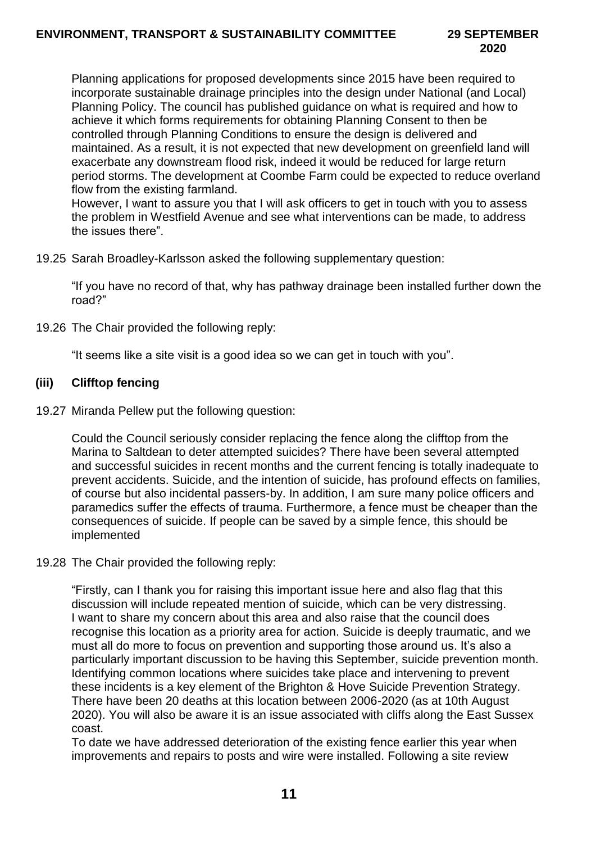Planning applications for proposed developments since 2015 have been required to incorporate sustainable drainage principles into the design under National (and Local) Planning Policy. The council has published guidance on what is required and how to achieve it which forms requirements for obtaining Planning Consent to then be controlled through Planning Conditions to ensure the design is delivered and maintained. As a result, it is not expected that new development on greenfield land will exacerbate any downstream flood risk, indeed it would be reduced for large return period storms. The development at Coombe Farm could be expected to reduce overland flow from the existing farmland.

However, I want to assure you that I will ask officers to get in touch with you to assess the problem in Westfield Avenue and see what interventions can be made, to address the issues there".

19.25 Sarah Broadley-Karlsson asked the following supplementary question:

"If you have no record of that, why has pathway drainage been installed further down the road?"

19.26 The Chair provided the following reply:

"It seems like a site visit is a good idea so we can get in touch with you".

#### **(iii) Clifftop fencing**

19.27 Miranda Pellew put the following question:

Could the Council seriously consider replacing the fence along the clifftop from the Marina to Saltdean to deter attempted suicides? There have been several attempted and successful suicides in recent months and the current fencing is totally inadequate to prevent accidents. Suicide, and the intention of suicide, has profound effects on families, of course but also incidental passers-by. In addition, I am sure many police officers and paramedics suffer the effects of trauma. Furthermore, a fence must be cheaper than the consequences of suicide. If people can be saved by a simple fence, this should be implemented

#### 19.28 The Chair provided the following reply:

"Firstly, can I thank you for raising this important issue here and also flag that this discussion will include repeated mention of suicide, which can be very distressing. I want to share my concern about this area and also raise that the council does recognise this location as a priority area for action. Suicide is deeply traumatic, and we must all do more to focus on prevention and supporting those around us. It's also a particularly important discussion to be having this September, suicide prevention month. Identifying common locations where suicides take place and intervening to prevent these incidents is a key element of the Brighton & Hove Suicide Prevention Strategy. There have been 20 deaths at this location between 2006-2020 (as at 10th August 2020). You will also be aware it is an issue associated with cliffs along the East Sussex coast.

To date we have addressed deterioration of the existing fence earlier this year when improvements and repairs to posts and wire were installed. Following a site review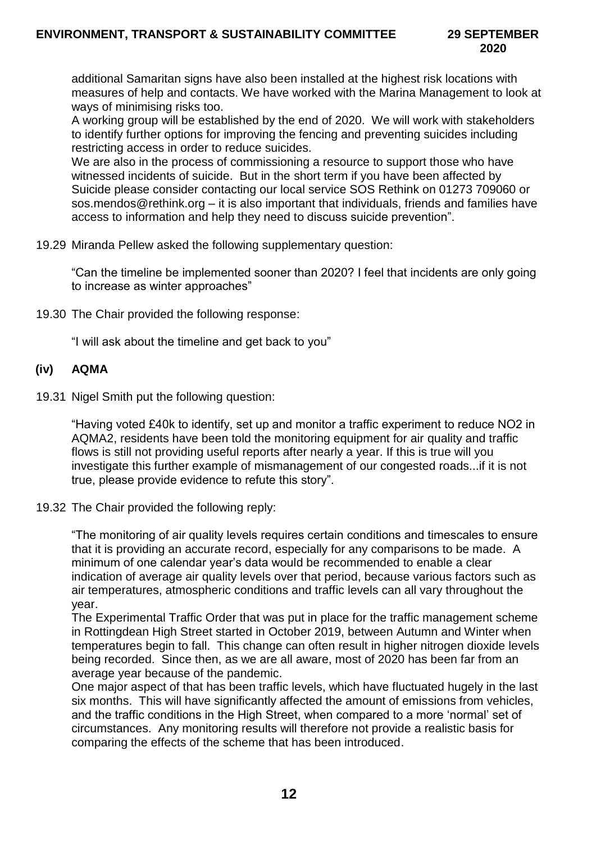additional Samaritan signs have also been installed at the highest risk locations with measures of help and contacts. We have worked with the Marina Management to look at ways of minimising risks too.

A working group will be established by the end of 2020. We will work with stakeholders to identify further options for improving the fencing and preventing suicides including restricting access in order to reduce suicides.

We are also in the process of commissioning a resource to support those who have witnessed incidents of suicide. But in the short term if you have been affected by Suicide please consider contacting our local service SOS Rethink on 01273 709060 or sos.mendos@rethink.org – it is also important that individuals, friends and families have access to information and help they need to discuss suicide prevention".

19.29 Miranda Pellew asked the following supplementary question:

"Can the timeline be implemented sooner than 2020? I feel that incidents are only going to increase as winter approaches"

19.30 The Chair provided the following response:

"I will ask about the timeline and get back to you"

## **(iv) AQMA**

19.31 Nigel Smith put the following question:

"Having voted £40k to identify, set up and monitor a traffic experiment to reduce NO2 in AQMA2, residents have been told the monitoring equipment for air quality and traffic flows is still not providing useful reports after nearly a year. If this is true will you investigate this further example of mismanagement of our congested roads...if it is not true, please provide evidence to refute this story".

19.32 The Chair provided the following reply:

"The monitoring of air quality levels requires certain conditions and timescales to ensure that it is providing an accurate record, especially for any comparisons to be made. A minimum of one calendar year's data would be recommended to enable a clear indication of average air quality levels over that period, because various factors such as air temperatures, atmospheric conditions and traffic levels can all vary throughout the year.

The Experimental Traffic Order that was put in place for the traffic management scheme in Rottingdean High Street started in October 2019, between Autumn and Winter when temperatures begin to fall. This change can often result in higher nitrogen dioxide levels being recorded. Since then, as we are all aware, most of 2020 has been far from an average year because of the pandemic.

One major aspect of that has been traffic levels, which have fluctuated hugely in the last six months. This will have significantly affected the amount of emissions from vehicles, and the traffic conditions in the High Street, when compared to a more 'normal' set of circumstances. Any monitoring results will therefore not provide a realistic basis for comparing the effects of the scheme that has been introduced.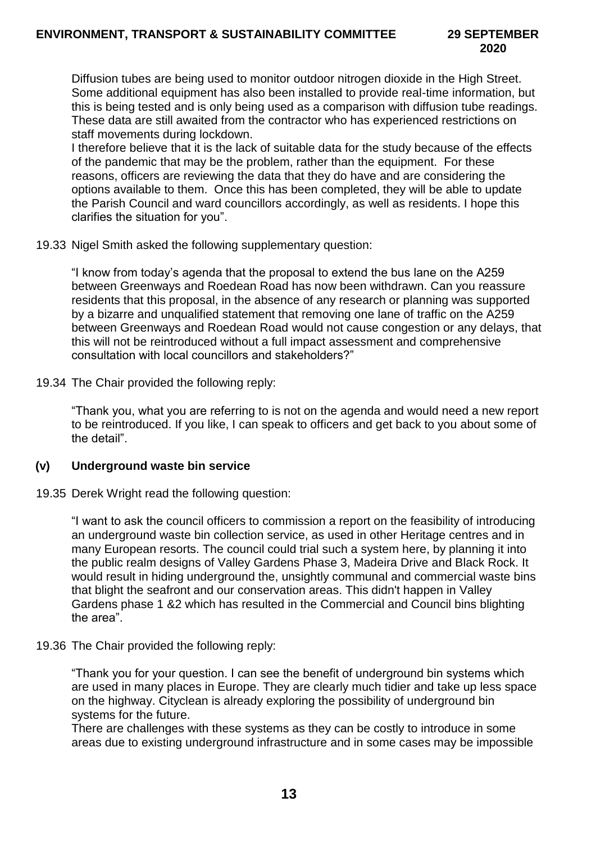Diffusion tubes are being used to monitor outdoor nitrogen dioxide in the High Street. Some additional equipment has also been installed to provide real-time information, but this is being tested and is only being used as a comparison with diffusion tube readings. These data are still awaited from the contractor who has experienced restrictions on staff movements during lockdown.

I therefore believe that it is the lack of suitable data for the study because of the effects of the pandemic that may be the problem, rather than the equipment. For these reasons, officers are reviewing the data that they do have and are considering the options available to them. Once this has been completed, they will be able to update the Parish Council and ward councillors accordingly, as well as residents. I hope this clarifies the situation for you".

19.33 Nigel Smith asked the following supplementary question:

"I know from today's agenda that the proposal to extend the bus lane on the A259 between Greenways and Roedean Road has now been withdrawn. Can you reassure residents that this proposal, in the absence of any research or planning was supported by a bizarre and unqualified statement that removing one lane of traffic on the A259 between Greenways and Roedean Road would not cause congestion or any delays, that this will not be reintroduced without a full impact assessment and comprehensive consultation with local councillors and stakeholders?"

19.34 The Chair provided the following reply:

"Thank you, what you are referring to is not on the agenda and would need a new report to be reintroduced. If you like, I can speak to officers and get back to you about some of the detail".

## **(v) Underground waste bin service**

19.35 Derek Wright read the following question:

"I want to ask the council officers to commission a report on the feasibility of introducing an underground waste bin collection service, as used in other Heritage centres and in many European resorts. The council could trial such a system here, by planning it into the public realm designs of Valley Gardens Phase 3, Madeira Drive and Black Rock. It would result in hiding underground the, unsightly communal and commercial waste bins that blight the seafront and our conservation areas. This didn't happen in Valley Gardens phase 1 &2 which has resulted in the Commercial and Council bins blighting the area".

19.36 The Chair provided the following reply:

"Thank you for your question. I can see the benefit of underground bin systems which are used in many places in Europe. They are clearly much tidier and take up less space on the highway. Cityclean is already exploring the possibility of underground bin systems for the future.

There are challenges with these systems as they can be costly to introduce in some areas due to existing underground infrastructure and in some cases may be impossible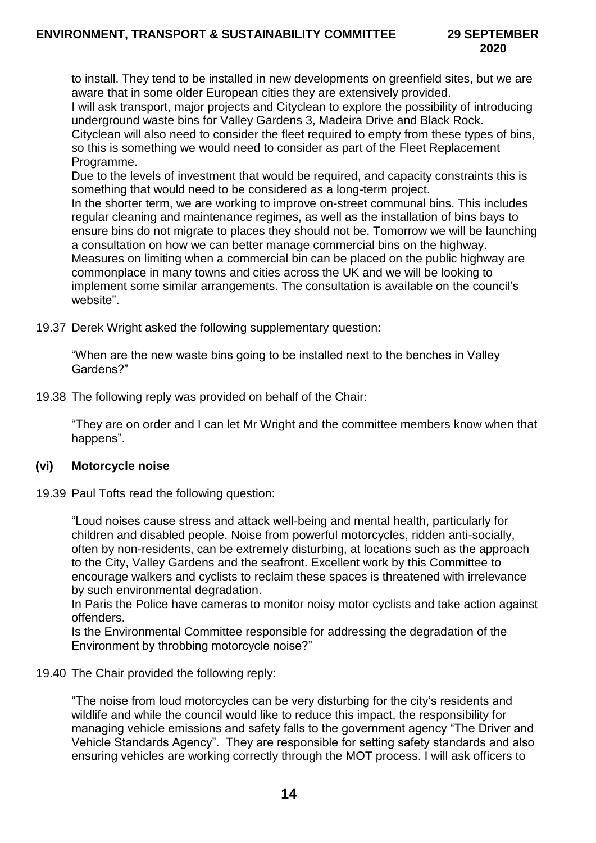to install. They tend to be installed in new developments on greenfield sites, but we are aware that in some older European cities they are extensively provided.

I will ask transport, major projects and Cityclean to explore the possibility of introducing underground waste bins for Valley Gardens 3, Madeira Drive and Black Rock.

Cityclean will also need to consider the fleet required to empty from these types of bins, so this is something we would need to consider as part of the Fleet Replacement Programme.

Due to the levels of investment that would be required, and capacity constraints this is something that would need to be considered as a long-term project.

In the shorter term, we are working to improve on-street communal bins. This includes regular cleaning and maintenance regimes, as well as the installation of bins bays to ensure bins do not migrate to places they should not be. Tomorrow we will be launching a consultation on how we can better manage commercial bins on the highway. Measures on limiting when a commercial bin can be placed on the public highway are commonplace in many towns and cities across the UK and we will be looking to implement some similar arrangements. The consultation is available on the council's website".

19.37 Derek Wright asked the following supplementary question:

"When are the new waste bins going to be installed next to the benches in Valley Gardens?"

19.38 The following reply was provided on behalf of the Chair:

"They are on order and I can let Mr Wright and the committee members know when that happens".

## **(vi) Motorcycle noise**

19.39 Paul Tofts read the following question:

"Loud noises cause stress and attack well-being and mental health, particularly for children and disabled people. Noise from powerful motorcycles, ridden anti-socially, often by non-residents, can be extremely disturbing, at locations such as the approach to the City, Valley Gardens and the seafront. Excellent work by this Committee to encourage walkers and cyclists to reclaim these spaces is threatened with irrelevance by such environmental degradation.

In Paris the Police have cameras to monitor noisy motor cyclists and take action against offenders.

Is the Environmental Committee responsible for addressing the degradation of the Environment by throbbing motorcycle noise?"

## 19.40 The Chair provided the following reply:

"The noise from loud motorcycles can be very disturbing for the city's residents and wildlife and while the council would like to reduce this impact, the responsibility for managing vehicle emissions and safety falls to the government agency "The Driver and Vehicle Standards Agency". They are responsible for setting safety standards and also ensuring vehicles are working correctly through the MOT process. I will ask officers to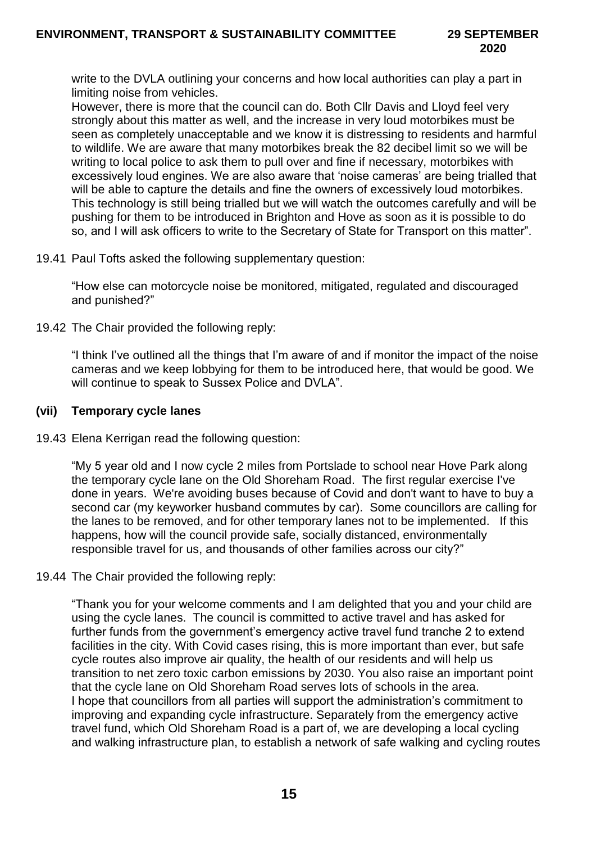write to the DVLA outlining your concerns and how local authorities can play a part in limiting noise from vehicles.

However, there is more that the council can do. Both Cllr Davis and Lloyd feel very strongly about this matter as well, and the increase in very loud motorbikes must be seen as completely unacceptable and we know it is distressing to residents and harmful to wildlife. We are aware that many motorbikes break the 82 decibel limit so we will be writing to local police to ask them to pull over and fine if necessary, motorbikes with excessively loud engines. We are also aware that 'noise cameras' are being trialled that will be able to capture the details and fine the owners of excessively loud motorbikes. This technology is still being trialled but we will watch the outcomes carefully and will be pushing for them to be introduced in Brighton and Hove as soon as it is possible to do so, and I will ask officers to write to the Secretary of State for Transport on this matter".

19.41 Paul Tofts asked the following supplementary question:

"How else can motorcycle noise be monitored, mitigated, regulated and discouraged and punished?"

19.42 The Chair provided the following reply:

"I think I've outlined all the things that I'm aware of and if monitor the impact of the noise cameras and we keep lobbying for them to be introduced here, that would be good. We will continue to speak to Sussex Police and DVLA".

#### **(vii) Temporary cycle lanes**

19.43 Elena Kerrigan read the following question:

"My 5 year old and I now cycle 2 miles from Portslade to school near Hove Park along the temporary cycle lane on the Old Shoreham Road. The first regular exercise I've done in years. We're avoiding buses because of Covid and don't want to have to buy a second car (my keyworker husband commutes by car). Some councillors are calling for the lanes to be removed, and for other temporary lanes not to be implemented. If this happens, how will the council provide safe, socially distanced, environmentally responsible travel for us, and thousands of other families across our city?"

19.44 The Chair provided the following reply:

"Thank you for your welcome comments and I am delighted that you and your child are using the cycle lanes. The council is committed to active travel and has asked for further funds from the government's emergency active travel fund tranche 2 to extend facilities in the city. With Covid cases rising, this is more important than ever, but safe cycle routes also improve air quality, the health of our residents and will help us transition to net zero toxic carbon emissions by 2030. You also raise an important point that the cycle lane on Old Shoreham Road serves lots of schools in the area. I hope that councillors from all parties will support the administration's commitment to improving and expanding cycle infrastructure. Separately from the emergency active travel fund, which Old Shoreham Road is a part of, we are developing a local cycling and walking infrastructure plan, to establish a network of safe walking and cycling routes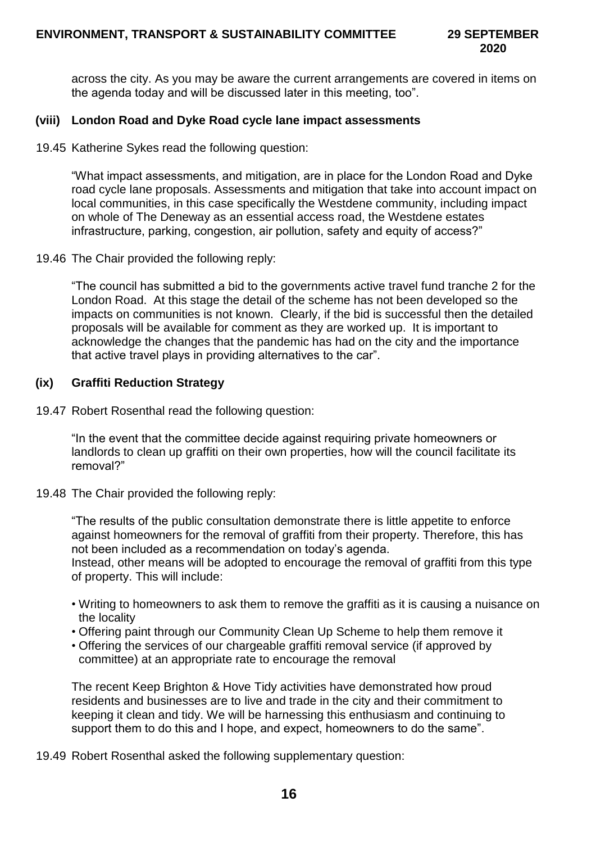across the city. As you may be aware the current arrangements are covered in items on the agenda today and will be discussed later in this meeting, too".

#### **(viii) London Road and Dyke Road cycle lane impact assessments**

19.45 Katherine Sykes read the following question:

"What impact assessments, and mitigation, are in place for the London Road and Dyke road cycle lane proposals. Assessments and mitigation that take into account impact on local communities, in this case specifically the Westdene community, including impact on whole of The Deneway as an essential access road, the Westdene estates infrastructure, parking, congestion, air pollution, safety and equity of access?"

19.46 The Chair provided the following reply:

"The council has submitted a bid to the governments active travel fund tranche 2 for the London Road. At this stage the detail of the scheme has not been developed so the impacts on communities is not known. Clearly, if the bid is successful then the detailed proposals will be available for comment as they are worked up. It is important to acknowledge the changes that the pandemic has had on the city and the importance that active travel plays in providing alternatives to the car".

#### **(ix) Graffiti Reduction Strategy**

19.47 Robert Rosenthal read the following question:

"In the event that the committee decide against requiring private homeowners or landlords to clean up graffiti on their own properties, how will the council facilitate its removal?"

19.48 The Chair provided the following reply:

"The results of the public consultation demonstrate there is little appetite to enforce against homeowners for the removal of graffiti from their property. Therefore, this has not been included as a recommendation on today's agenda. Instead, other means will be adopted to encourage the removal of graffiti from this type of property. This will include:

- Writing to homeowners to ask them to remove the graffiti as it is causing a nuisance on the locality
- Offering paint through our Community Clean Up Scheme to help them remove it
- Offering the services of our chargeable graffiti removal service (if approved by committee) at an appropriate rate to encourage the removal

The recent Keep Brighton & Hove Tidy activities have demonstrated how proud residents and businesses are to live and trade in the city and their commitment to keeping it clean and tidy. We will be harnessing this enthusiasm and continuing to support them to do this and I hope, and expect, homeowners to do the same".

19.49 Robert Rosenthal asked the following supplementary question: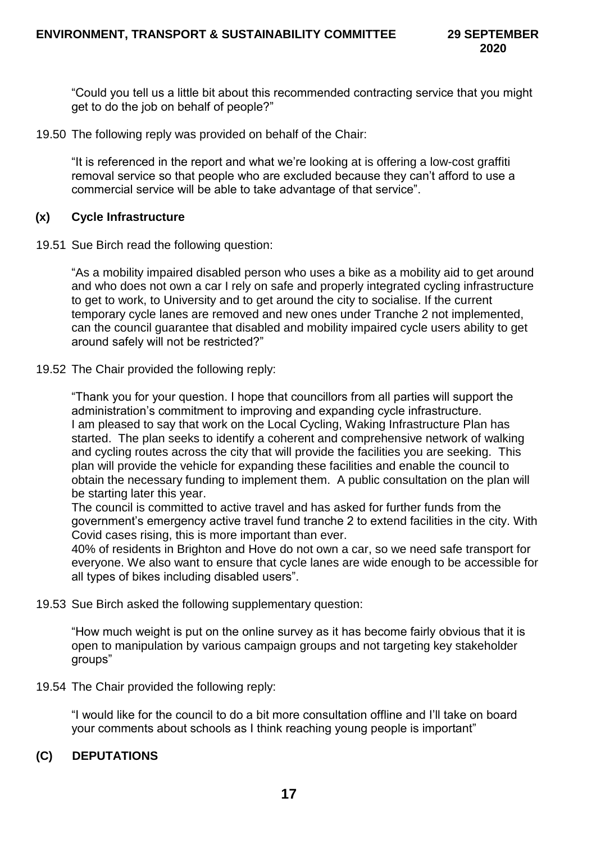"Could you tell us a little bit about this recommended contracting service that you might get to do the job on behalf of people?"

19.50 The following reply was provided on behalf of the Chair:

"It is referenced in the report and what we're looking at is offering a low-cost graffiti removal service so that people who are excluded because they can't afford to use a commercial service will be able to take advantage of that service".

## **(x) Cycle Infrastructure**

19.51 Sue Birch read the following question:

"As a mobility impaired disabled person who uses a bike as a mobility aid to get around and who does not own a car I rely on safe and properly integrated cycling infrastructure to get to work, to University and to get around the city to socialise. If the current temporary cycle lanes are removed and new ones under Tranche 2 not implemented, can the council guarantee that disabled and mobility impaired cycle users ability to get around safely will not be restricted?"

19.52 The Chair provided the following reply:

"Thank you for your question. I hope that councillors from all parties will support the administration's commitment to improving and expanding cycle infrastructure. I am pleased to say that work on the Local Cycling, Waking Infrastructure Plan has started. The plan seeks to identify a coherent and comprehensive network of walking and cycling routes across the city that will provide the facilities you are seeking. This plan will provide the vehicle for expanding these facilities and enable the council to obtain the necessary funding to implement them. A public consultation on the plan will be starting later this year.

The council is committed to active travel and has asked for further funds from the government's emergency active travel fund tranche 2 to extend facilities in the city. With Covid cases rising, this is more important than ever.

40% of residents in Brighton and Hove do not own a car, so we need safe transport for everyone. We also want to ensure that cycle lanes are wide enough to be accessible for all types of bikes including disabled users".

19.53 Sue Birch asked the following supplementary question:

"How much weight is put on the online survey as it has become fairly obvious that it is open to manipulation by various campaign groups and not targeting key stakeholder groups"

19.54 The Chair provided the following reply:

"I would like for the council to do a bit more consultation offline and I'll take on board your comments about schools as I think reaching young people is important"

## **(C) DEPUTATIONS**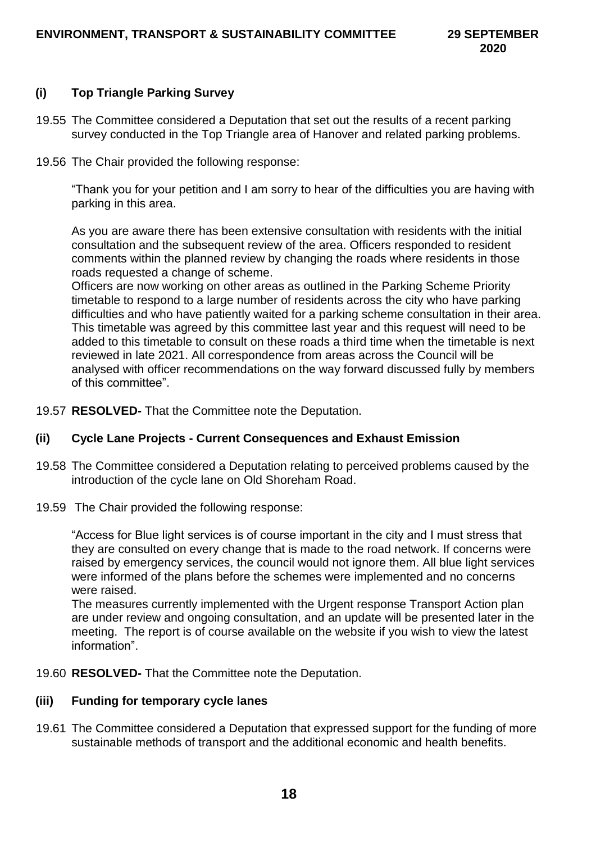# **(i) Top Triangle Parking Survey**

- 19.55 The Committee considered a Deputation that set out the results of a recent parking survey conducted in the Top Triangle area of Hanover and related parking problems.
- 19.56 The Chair provided the following response:

"Thank you for your petition and I am sorry to hear of the difficulties you are having with parking in this area.

As you are aware there has been extensive consultation with residents with the initial consultation and the subsequent review of the area. Officers responded to resident comments within the planned review by changing the roads where residents in those roads requested a change of scheme.

Officers are now working on other areas as outlined in the Parking Scheme Priority timetable to respond to a large number of residents across the city who have parking difficulties and who have patiently waited for a parking scheme consultation in their area. This timetable was agreed by this committee last year and this request will need to be added to this timetable to consult on these roads a third time when the timetable is next reviewed in late 2021. All correspondence from areas across the Council will be analysed with officer recommendations on the way forward discussed fully by members of this committee".

19.57 **RESOLVED-** That the Committee note the Deputation.

## **(ii) Cycle Lane Projects - Current Consequences and Exhaust Emission**

- 19.58 The Committee considered a Deputation relating to perceived problems caused by the introduction of the cycle lane on Old Shoreham Road.
- 19.59 The Chair provided the following response:

"Access for Blue light services is of course important in the city and I must stress that they are consulted on every change that is made to the road network. If concerns were raised by emergency services, the council would not ignore them. All blue light services were informed of the plans before the schemes were implemented and no concerns were raised.

The measures currently implemented with the Urgent response Transport Action plan are under review and ongoing consultation, and an update will be presented later in the meeting. The report is of course available on the website if you wish to view the latest information".

19.60 **RESOLVED-** That the Committee note the Deputation.

## **(iii) Funding for temporary cycle lanes**

19.61 The Committee considered a Deputation that expressed support for the funding of more sustainable methods of transport and the additional economic and health benefits.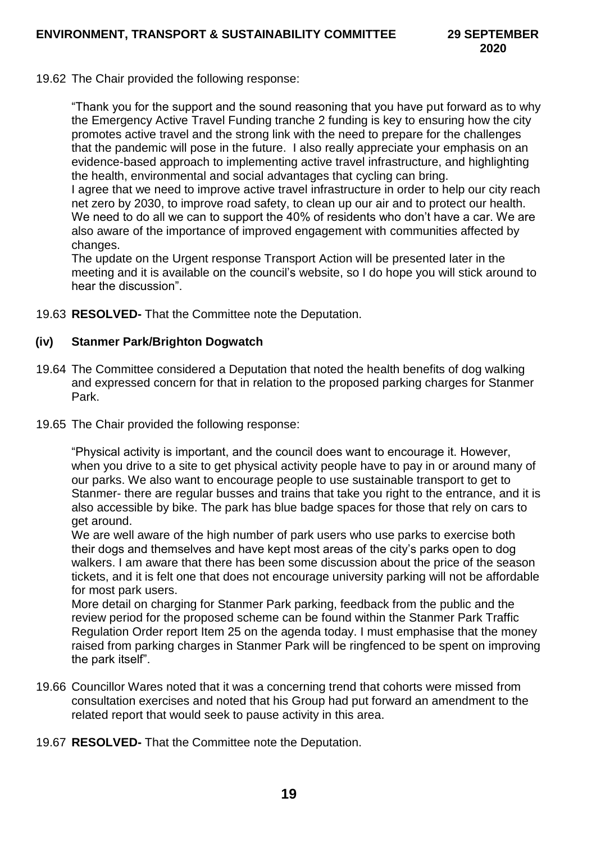19.62 The Chair provided the following response:

"Thank you for the support and the sound reasoning that you have put forward as to why the Emergency Active Travel Funding tranche 2 funding is key to ensuring how the city promotes active travel and the strong link with the need to prepare for the challenges that the pandemic will pose in the future. I also really appreciate your emphasis on an evidence-based approach to implementing active travel infrastructure, and highlighting the health, environmental and social advantages that cycling can bring.

I agree that we need to improve active travel infrastructure in order to help our city reach net zero by 2030, to improve road safety, to clean up our air and to protect our health. We need to do all we can to support the 40% of residents who don't have a car. We are also aware of the importance of improved engagement with communities affected by changes.

The update on the Urgent response Transport Action will be presented later in the meeting and it is available on the council's website, so I do hope you will stick around to hear the discussion".

19.63 **RESOLVED-** That the Committee note the Deputation.

#### **(iv) Stanmer Park/Brighton Dogwatch**

- 19.64 The Committee considered a Deputation that noted the health benefits of dog walking and expressed concern for that in relation to the proposed parking charges for Stanmer Park.
- 19.65 The Chair provided the following response:

"Physical activity is important, and the council does want to encourage it. However, when you drive to a site to get physical activity people have to pay in or around many of our parks. We also want to encourage people to use sustainable transport to get to Stanmer- there are regular busses and trains that take you right to the entrance, and it is also accessible by bike. The park has blue badge spaces for those that rely on cars to get around.

We are well aware of the high number of park users who use parks to exercise both their dogs and themselves and have kept most areas of the city's parks open to dog walkers. I am aware that there has been some discussion about the price of the season tickets, and it is felt one that does not encourage university parking will not be affordable for most park users.

More detail on charging for Stanmer Park parking, feedback from the public and the review period for the proposed scheme can be found within the Stanmer Park Traffic Regulation Order report Item 25 on the agenda today. I must emphasise that the money raised from parking charges in Stanmer Park will be ringfenced to be spent on improving the park itself".

- 19.66 Councillor Wares noted that it was a concerning trend that cohorts were missed from consultation exercises and noted that his Group had put forward an amendment to the related report that would seek to pause activity in this area.
- 19.67 **RESOLVED-** That the Committee note the Deputation.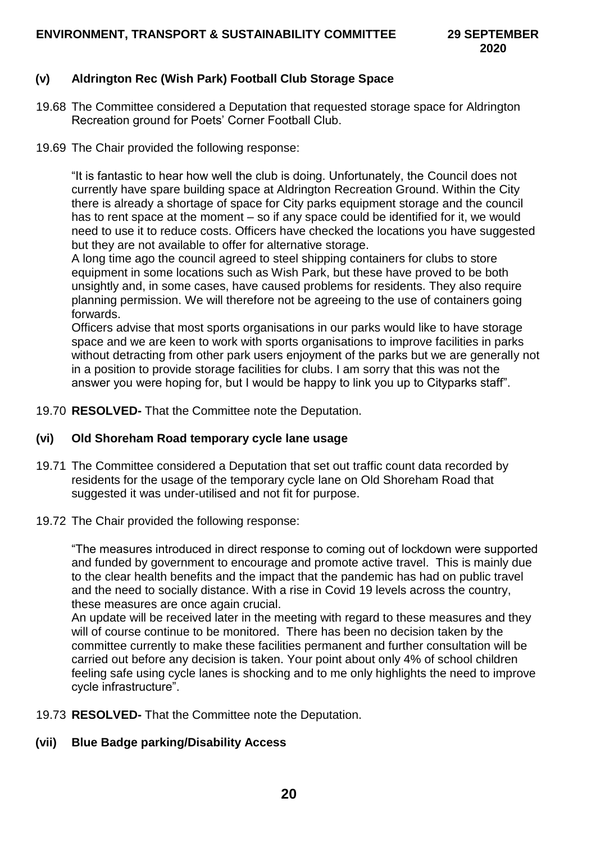# **(v) Aldrington Rec (Wish Park) Football Club Storage Space**

- 19.68 The Committee considered a Deputation that requested storage space for Aldrington Recreation ground for Poets' Corner Football Club.
- 19.69 The Chair provided the following response:

"It is fantastic to hear how well the club is doing. Unfortunately, the Council does not currently have spare building space at Aldrington Recreation Ground. Within the City there is already a shortage of space for City parks equipment storage and the council has to rent space at the moment – so if any space could be identified for it, we would need to use it to reduce costs. Officers have checked the locations you have suggested but they are not available to offer for alternative storage.

A long time ago the council agreed to steel shipping containers for clubs to store equipment in some locations such as Wish Park, but these have proved to be both unsightly and, in some cases, have caused problems for residents. They also require planning permission. We will therefore not be agreeing to the use of containers going forwards.

Officers advise that most sports organisations in our parks would like to have storage space and we are keen to work with sports organisations to improve facilities in parks without detracting from other park users enjoyment of the parks but we are generally not in a position to provide storage facilities for clubs. I am sorry that this was not the answer you were hoping for, but I would be happy to link you up to Cityparks staff".

19.70 **RESOLVED-** That the Committee note the Deputation.

#### **(vi) Old Shoreham Road temporary cycle lane usage**

- 19.71 The Committee considered a Deputation that set out traffic count data recorded by residents for the usage of the temporary cycle lane on Old Shoreham Road that suggested it was under-utilised and not fit for purpose.
- 19.72 The Chair provided the following response:

"The measures introduced in direct response to coming out of lockdown were supported and funded by government to encourage and promote active travel. This is mainly due to the clear health benefits and the impact that the pandemic has had on public travel and the need to socially distance. With a rise in Covid 19 levels across the country, these measures are once again crucial.

An update will be received later in the meeting with regard to these measures and they will of course continue to be monitored. There has been no decision taken by the committee currently to make these facilities permanent and further consultation will be carried out before any decision is taken. Your point about only 4% of school children feeling safe using cycle lanes is shocking and to me only highlights the need to improve cycle infrastructure".

19.73 **RESOLVED-** That the Committee note the Deputation.

## **(vii) Blue Badge parking/Disability Access**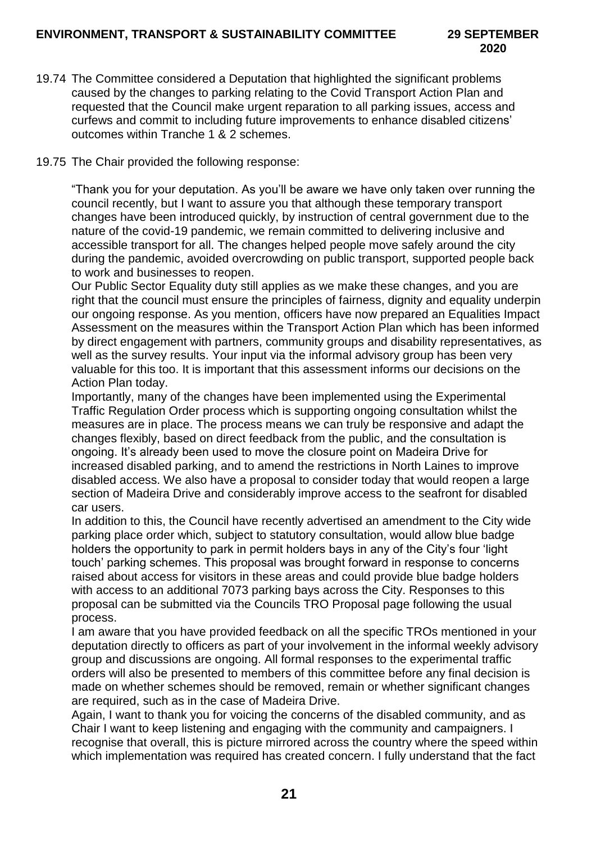- 19.74 The Committee considered a Deputation that highlighted the significant problems caused by the changes to parking relating to the Covid Transport Action Plan and requested that the Council make urgent reparation to all parking issues, access and curfews and commit to including future improvements to enhance disabled citizens' outcomes within Tranche 1 & 2 schemes.
- 19.75 The Chair provided the following response:

"Thank you for your deputation. As you'll be aware we have only taken over running the council recently, but I want to assure you that although these temporary transport changes have been introduced quickly, by instruction of central government due to the nature of the covid-19 pandemic, we remain committed to delivering inclusive and accessible transport for all. The changes helped people move safely around the city during the pandemic, avoided overcrowding on public transport, supported people back to work and businesses to reopen.

Our Public Sector Equality duty still applies as we make these changes, and you are right that the council must ensure the principles of fairness, dignity and equality underpin our ongoing response. As you mention, officers have now prepared an Equalities Impact Assessment on the measures within the Transport Action Plan which has been informed by direct engagement with partners, community groups and disability representatives, as well as the survey results. Your input via the informal advisory group has been very valuable for this too. It is important that this assessment informs our decisions on the Action Plan today.

Importantly, many of the changes have been implemented using the Experimental Traffic Regulation Order process which is supporting ongoing consultation whilst the measures are in place. The process means we can truly be responsive and adapt the changes flexibly, based on direct feedback from the public, and the consultation is ongoing. It's already been used to move the closure point on Madeira Drive for increased disabled parking, and to amend the restrictions in North Laines to improve disabled access. We also have a proposal to consider today that would reopen a large section of Madeira Drive and considerably improve access to the seafront for disabled car users.

In addition to this, the Council have recently advertised an amendment to the City wide parking place order which, subject to statutory consultation, would allow blue badge holders the opportunity to park in permit holders bays in any of the City's four 'light touch' parking schemes. This proposal was brought forward in response to concerns raised about access for visitors in these areas and could provide blue badge holders with access to an additional 7073 parking bays across the City. Responses to this proposal can be submitted via the Councils TRO Proposal page following the usual process.

I am aware that you have provided feedback on all the specific TROs mentioned in your deputation directly to officers as part of your involvement in the informal weekly advisory group and discussions are ongoing. All formal responses to the experimental traffic orders will also be presented to members of this committee before any final decision is made on whether schemes should be removed, remain or whether significant changes are required, such as in the case of Madeira Drive.

Again, I want to thank you for voicing the concerns of the disabled community, and as Chair I want to keep listening and engaging with the community and campaigners. I recognise that overall, this is picture mirrored across the country where the speed within which implementation was required has created concern. I fully understand that the fact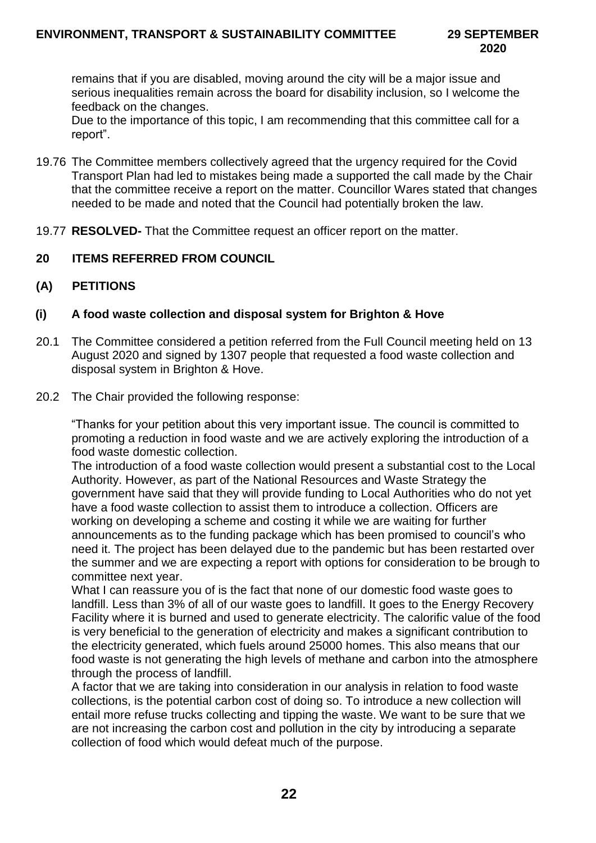remains that if you are disabled, moving around the city will be a major issue and serious inequalities remain across the board for disability inclusion, so I welcome the feedback on the changes.

Due to the importance of this topic, I am recommending that this committee call for a report".

- 19.76 The Committee members collectively agreed that the urgency required for the Covid Transport Plan had led to mistakes being made a supported the call made by the Chair that the committee receive a report on the matter. Councillor Wares stated that changes needed to be made and noted that the Council had potentially broken the law.
- 19.77 **RESOLVED-** That the Committee request an officer report on the matter.
- **20 ITEMS REFERRED FROM COUNCIL**
- **(A) PETITIONS**
- **(i) A food waste collection and disposal system for Brighton & Hove**
- 20.1 The Committee considered a petition referred from the Full Council meeting held on 13 August 2020 and signed by 1307 people that requested a food waste collection and disposal system in Brighton & Hove.
- 20.2 The Chair provided the following response:

"Thanks for your petition about this very important issue. The council is committed to promoting a reduction in food waste and we are actively exploring the introduction of a food waste domestic collection.

The introduction of a food waste collection would present a substantial cost to the Local Authority. However, as part of the National Resources and Waste Strategy the government have said that they will provide funding to Local Authorities who do not yet have a food waste collection to assist them to introduce a collection. Officers are working on developing a scheme and costing it while we are waiting for further announcements as to the funding package which has been promised to council's who need it. The project has been delayed due to the pandemic but has been restarted over the summer and we are expecting a report with options for consideration to be brough to committee next year.

What I can reassure you of is the fact that none of our domestic food waste goes to landfill. Less than 3% of all of our waste goes to landfill. It goes to the Energy Recovery Facility where it is burned and used to generate electricity. The calorific value of the food is very beneficial to the generation of electricity and makes a significant contribution to the electricity generated, which fuels around 25000 homes. This also means that our food waste is not generating the high levels of methane and carbon into the atmosphere through the process of landfill.

A factor that we are taking into consideration in our analysis in relation to food waste collections, is the potential carbon cost of doing so. To introduce a new collection will entail more refuse trucks collecting and tipping the waste. We want to be sure that we are not increasing the carbon cost and pollution in the city by introducing a separate collection of food which would defeat much of the purpose.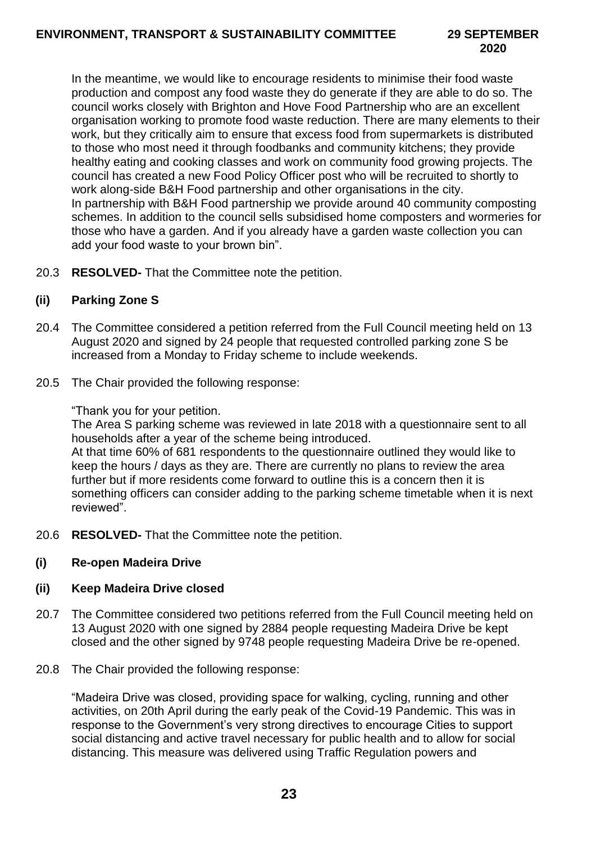In the meantime, we would like to encourage residents to minimise their food waste production and compost any food waste they do generate if they are able to do so. The council works closely with Brighton and Hove Food Partnership who are an excellent organisation working to promote food waste reduction. There are many elements to their work, but they critically aim to ensure that excess food from supermarkets is distributed to those who most need it through foodbanks and community kitchens; they provide healthy eating and cooking classes and work on community food growing projects. The council has created a new Food Policy Officer post who will be recruited to shortly to work along-side B&H Food partnership and other organisations in the city. In partnership with B&H Food partnership we provide around 40 community composting schemes. In addition to the council sells subsidised home composters and wormeries for those who have a garden. And if you already have a garden waste collection you can add your food waste to your brown bin".

20.3 **RESOLVED-** That the Committee note the petition.

# **(ii) Parking Zone S**

- 20.4 The Committee considered a petition referred from the Full Council meeting held on 13 August 2020 and signed by 24 people that requested controlled parking zone S be increased from a Monday to Friday scheme to include weekends.
- 20.5 The Chair provided the following response:

"Thank you for your petition.

The Area S parking scheme was reviewed in late 2018 with a questionnaire sent to all households after a year of the scheme being introduced.

At that time 60% of 681 respondents to the questionnaire outlined they would like to keep the hours / days as they are. There are currently no plans to review the area further but if more residents come forward to outline this is a concern then it is something officers can consider adding to the parking scheme timetable when it is next reviewed".

20.6 **RESOLVED-** That the Committee note the petition.

# **(i) Re-open Madeira Drive**

# **(ii) Keep Madeira Drive closed**

- 20.7 The Committee considered two petitions referred from the Full Council meeting held on 13 August 2020 with one signed by 2884 people requesting Madeira Drive be kept closed and the other signed by 9748 people requesting Madeira Drive be re-opened.
- 20.8 The Chair provided the following response:

"Madeira Drive was closed, providing space for walking, cycling, running and other activities, on 20th April during the early peak of the Covid-19 Pandemic. This was in response to the Government's very strong directives to encourage Cities to support social distancing and active travel necessary for public health and to allow for social distancing. This measure was delivered using Traffic Regulation powers and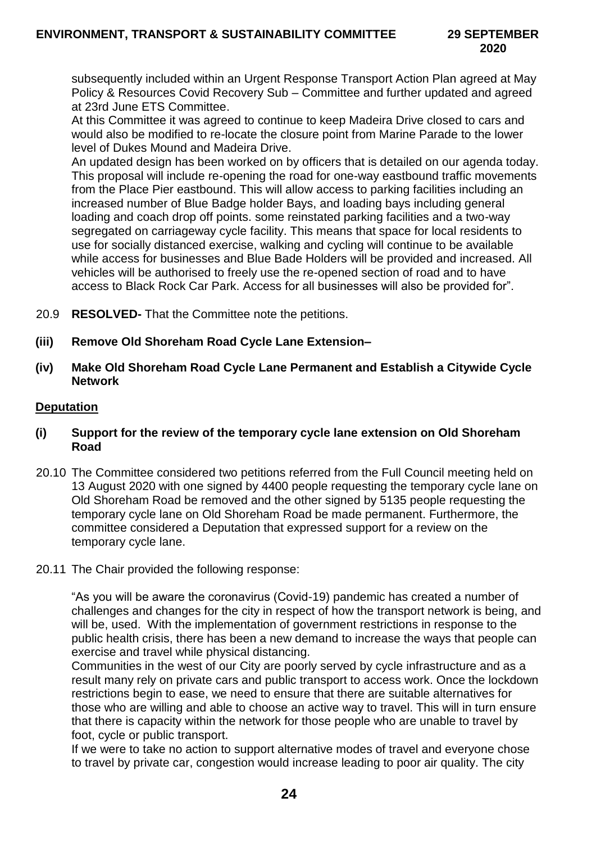subsequently included within an Urgent Response Transport Action Plan agreed at May Policy & Resources Covid Recovery Sub – Committee and further updated and agreed at 23rd June ETS Committee.

At this Committee it was agreed to continue to keep Madeira Drive closed to cars and would also be modified to re-locate the closure point from Marine Parade to the lower level of Dukes Mound and Madeira Drive.

An updated design has been worked on by officers that is detailed on our agenda today. This proposal will include re-opening the road for one-way eastbound traffic movements from the Place Pier eastbound. This will allow access to parking facilities including an increased number of Blue Badge holder Bays, and loading bays including general loading and coach drop off points. some reinstated parking facilities and a two-way segregated on carriageway cycle facility. This means that space for local residents to use for socially distanced exercise, walking and cycling will continue to be available while access for businesses and Blue Bade Holders will be provided and increased. All vehicles will be authorised to freely use the re-opened section of road and to have access to Black Rock Car Park. Access for all businesses will also be provided for".

- 20.9 **RESOLVED-** That the Committee note the petitions.
- **(iii) Remove Old Shoreham Road Cycle Lane Extension–**
- **(iv) Make Old Shoreham Road Cycle Lane Permanent and Establish a Citywide Cycle Network**

#### **Deputation**

- **(i) Support for the review of the temporary cycle lane extension on Old Shoreham Road**
- 20.10 The Committee considered two petitions referred from the Full Council meeting held on 13 August 2020 with one signed by 4400 people requesting the temporary cycle lane on Old Shoreham Road be removed and the other signed by 5135 people requesting the temporary cycle lane on Old Shoreham Road be made permanent. Furthermore, the committee considered a Deputation that expressed support for a review on the temporary cycle lane.
- 20.11 The Chair provided the following response:

"As you will be aware the coronavirus (Covid-19) pandemic has created a number of challenges and changes for the city in respect of how the transport network is being, and will be, used. With the implementation of government restrictions in response to the public health crisis, there has been a new demand to increase the ways that people can exercise and travel while physical distancing.

Communities in the west of our City are poorly served by cycle infrastructure and as a result many rely on private cars and public transport to access work. Once the lockdown restrictions begin to ease, we need to ensure that there are suitable alternatives for those who are willing and able to choose an active way to travel. This will in turn ensure that there is capacity within the network for those people who are unable to travel by foot, cycle or public transport.

If we were to take no action to support alternative modes of travel and everyone chose to travel by private car, congestion would increase leading to poor air quality. The city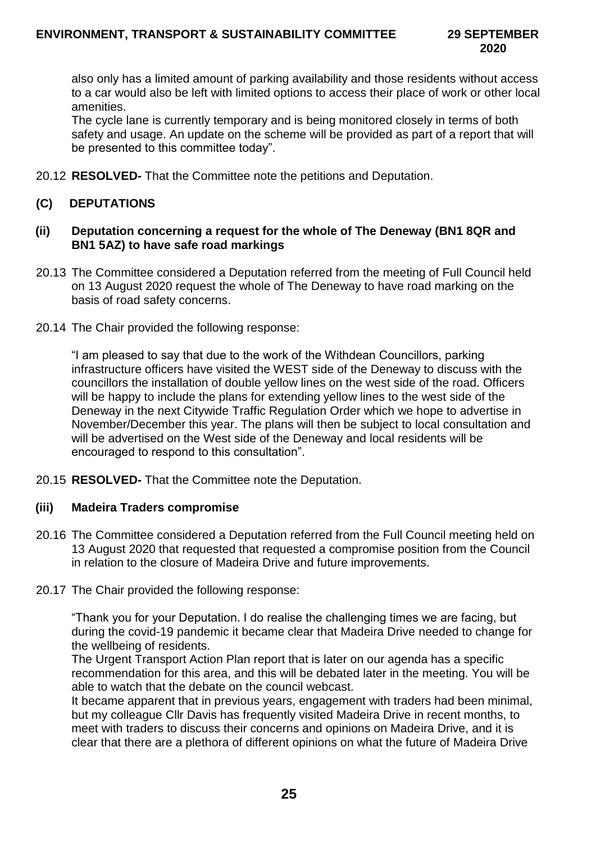also only has a limited amount of parking availability and those residents without access to a car would also be left with limited options to access their place of work or other local amenities.

The cycle lane is currently temporary and is being monitored closely in terms of both safety and usage. An update on the scheme will be provided as part of a report that will be presented to this committee today".

20.12 **RESOLVED-** That the Committee note the petitions and Deputation.

# **(C) DEPUTATIONS**

#### **(ii) Deputation concerning a request for the whole of The Deneway (BN1 8QR and BN1 5AZ) to have safe road markings**

- 20.13 The Committee considered a Deputation referred from the meeting of Full Council held on 13 August 2020 request the whole of The Deneway to have road marking on the basis of road safety concerns.
- 20.14 The Chair provided the following response:

"I am pleased to say that due to the work of the Withdean Councillors, parking infrastructure officers have visited the WEST side of the Deneway to discuss with the councillors the installation of double yellow lines on the west side of the road. Officers will be happy to include the plans for extending yellow lines to the west side of the Deneway in the next Citywide Traffic Regulation Order which we hope to advertise in November/December this year. The plans will then be subject to local consultation and will be advertised on the West side of the Deneway and local residents will be encouraged to respond to this consultation".

20.15 **RESOLVED-** That the Committee note the Deputation.

## **(iii) Madeira Traders compromise**

- 20.16 The Committee considered a Deputation referred from the Full Council meeting held on 13 August 2020 that requested that requested a compromise position from the Council in relation to the closure of Madeira Drive and future improvements.
- 20.17 The Chair provided the following response:

"Thank you for your Deputation. I do realise the challenging times we are facing, but during the covid-19 pandemic it became clear that Madeira Drive needed to change for the wellbeing of residents.

The Urgent Transport Action Plan report that is later on our agenda has a specific recommendation for this area, and this will be debated later in the meeting. You will be able to watch that the debate on the council webcast.

It became apparent that in previous years, engagement with traders had been minimal, but my colleague Cllr Davis has frequently visited Madeira Drive in recent months, to meet with traders to discuss their concerns and opinions on Madeira Drive, and it is clear that there are a plethora of different opinions on what the future of Madeira Drive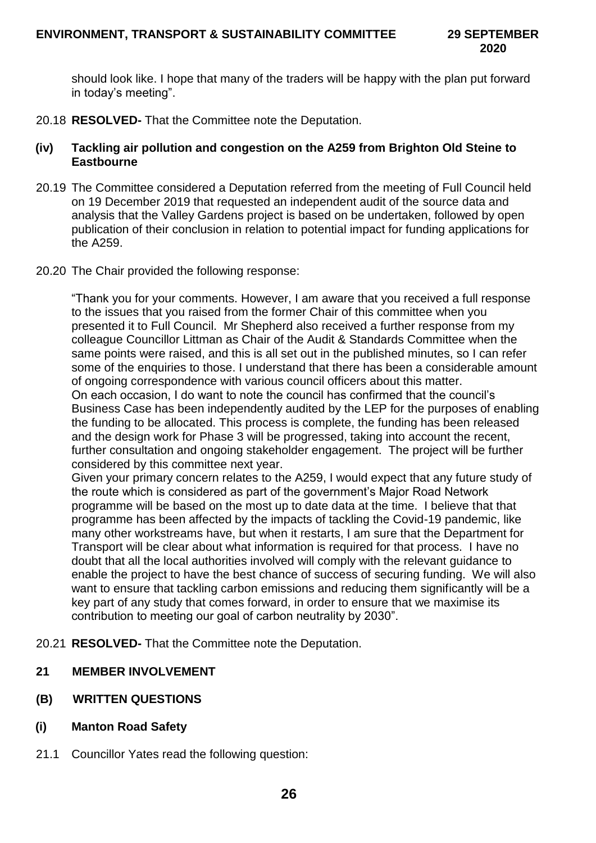should look like. I hope that many of the traders will be happy with the plan put forward in today's meeting".

20.18 **RESOLVED-** That the Committee note the Deputation.

## **(iv) Tackling air pollution and congestion on the A259 from Brighton Old Steine to Eastbourne**

- 20.19 The Committee considered a Deputation referred from the meeting of Full Council held on 19 December 2019 that requested an independent audit of the source data and analysis that the Valley Gardens project is based on be undertaken, followed by open publication of their conclusion in relation to potential impact for funding applications for the A259.
- 20.20 The Chair provided the following response:

"Thank you for your comments. However, I am aware that you received a full response to the issues that you raised from the former Chair of this committee when you presented it to Full Council. Mr Shepherd also received a further response from my colleague Councillor Littman as Chair of the Audit & Standards Committee when the same points were raised, and this is all set out in the published minutes, so I can refer some of the enquiries to those. I understand that there has been a considerable amount of ongoing correspondence with various council officers about this matter. On each occasion, I do want to note the council has confirmed that the council's Business Case has been independently audited by the LEP for the purposes of enabling the funding to be allocated. This process is complete, the funding has been released and the design work for Phase 3 will be progressed, taking into account the recent, further consultation and ongoing stakeholder engagement. The project will be further considered by this committee next year.

Given your primary concern relates to the A259, I would expect that any future study of the route which is considered as part of the government's Major Road Network programme will be based on the most up to date data at the time. I believe that that programme has been affected by the impacts of tackling the Covid-19 pandemic, like many other workstreams have, but when it restarts, I am sure that the Department for Transport will be clear about what information is required for that process. I have no doubt that all the local authorities involved will comply with the relevant guidance to enable the project to have the best chance of success of securing funding. We will also want to ensure that tackling carbon emissions and reducing them significantly will be a key part of any study that comes forward, in order to ensure that we maximise its contribution to meeting our goal of carbon neutrality by 2030".

- 20.21 **RESOLVED-** That the Committee note the Deputation.
- **21 MEMBER INVOLVEMENT**
- **(B) WRITTEN QUESTIONS**
- **(i) Manton Road Safety**
- 21.1 Councillor Yates read the following question: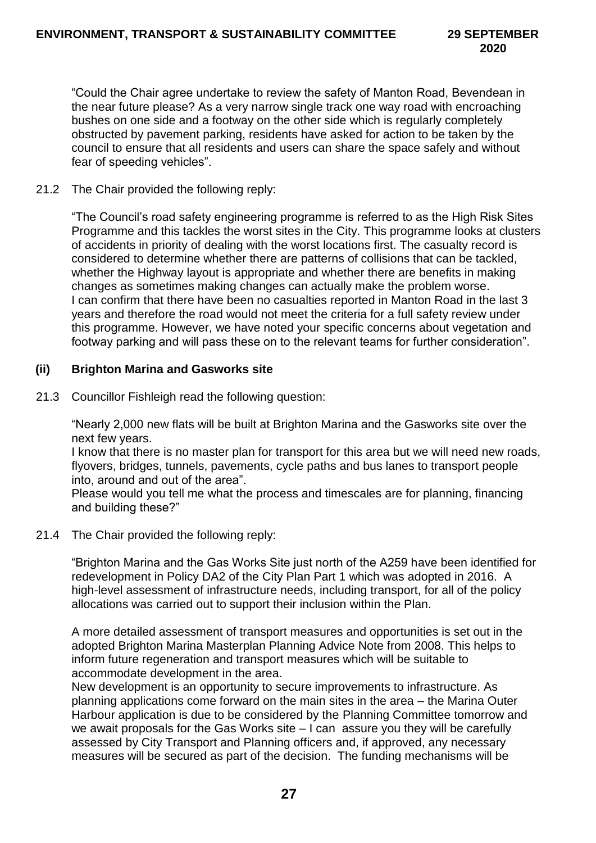"Could the Chair agree undertake to review the safety of Manton Road, Bevendean in the near future please? As a very narrow single track one way road with encroaching bushes on one side and a footway on the other side which is regularly completely obstructed by pavement parking, residents have asked for action to be taken by the council to ensure that all residents and users can share the space safely and without fear of speeding vehicles".

21.2 The Chair provided the following reply:

"The Council's road safety engineering programme is referred to as the High Risk Sites Programme and this tackles the worst sites in the City. This programme looks at clusters of accidents in priority of dealing with the worst locations first. The casualty record is considered to determine whether there are patterns of collisions that can be tackled, whether the Highway layout is appropriate and whether there are benefits in making changes as sometimes making changes can actually make the problem worse. I can confirm that there have been no casualties reported in Manton Road in the last 3 years and therefore the road would not meet the criteria for a full safety review under this programme. However, we have noted your specific concerns about vegetation and footway parking and will pass these on to the relevant teams for further consideration".

## **(ii) Brighton Marina and Gasworks site**

21.3 Councillor Fishleigh read the following question:

"Nearly 2,000 new flats will be built at Brighton Marina and the Gasworks site over the next few years.

I know that there is no master plan for transport for this area but we will need new roads, flyovers, bridges, tunnels, pavements, cycle paths and bus lanes to transport people into, around and out of the area".

Please would you tell me what the process and timescales are for planning, financing and building these?"

21.4 The Chair provided the following reply:

"Brighton Marina and the Gas Works Site just north of the A259 have been identified for redevelopment in Policy DA2 of the City Plan Part 1 which was adopted in 2016. A high-level assessment of infrastructure needs, including transport, for all of the policy allocations was carried out to support their inclusion within the Plan.

A more detailed assessment of transport measures and opportunities is set out in the adopted Brighton Marina Masterplan Planning Advice Note from 2008. This helps to inform future regeneration and transport measures which will be suitable to accommodate development in the area.

New development is an opportunity to secure improvements to infrastructure. As planning applications come forward on the main sites in the area – the Marina Outer Harbour application is due to be considered by the Planning Committee tomorrow and we await proposals for the Gas Works site – I can assure you they will be carefully assessed by City Transport and Planning officers and, if approved, any necessary measures will be secured as part of the decision. The funding mechanisms will be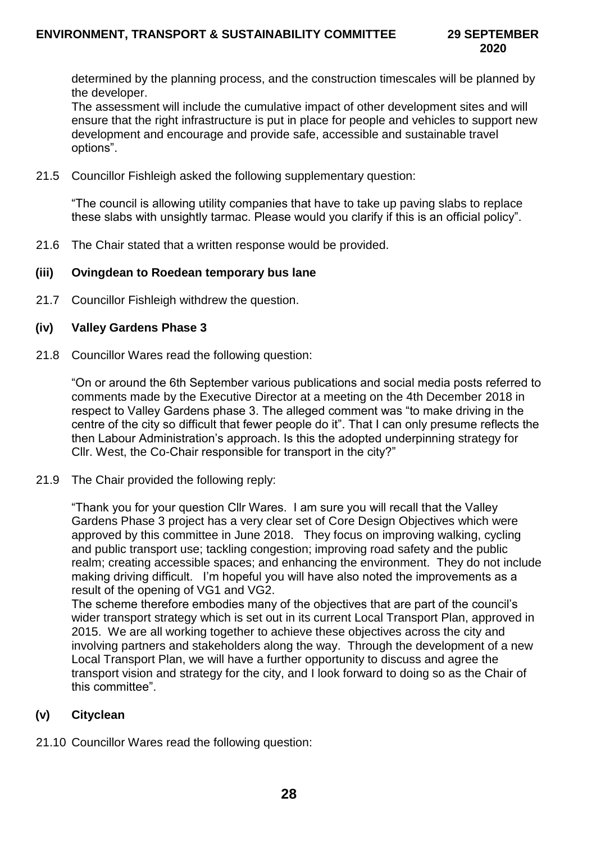determined by the planning process, and the construction timescales will be planned by the developer.

The assessment will include the cumulative impact of other development sites and will ensure that the right infrastructure is put in place for people and vehicles to support new development and encourage and provide safe, accessible and sustainable travel options".

21.5 Councillor Fishleigh asked the following supplementary question:

"The council is allowing utility companies that have to take up paving slabs to replace these slabs with unsightly tarmac. Please would you clarify if this is an official policy".

21.6 The Chair stated that a written response would be provided.

## **(iii) Ovingdean to Roedean temporary bus lane**

21.7 Councillor Fishleigh withdrew the question.

#### **(iv) Valley Gardens Phase 3**

21.8 Councillor Wares read the following question:

"On or around the 6th September various publications and social media posts referred to comments made by the Executive Director at a meeting on the 4th December 2018 in respect to Valley Gardens phase 3. The alleged comment was "to make driving in the centre of the city so difficult that fewer people do it". That I can only presume reflects the then Labour Administration's approach. Is this the adopted underpinning strategy for Cllr. West, the Co-Chair responsible for transport in the city?"

21.9 The Chair provided the following reply:

"Thank you for your question Cllr Wares. I am sure you will recall that the Valley Gardens Phase 3 project has a very clear set of Core Design Objectives which were approved by this committee in June 2018. They focus on improving walking, cycling and public transport use; tackling congestion; improving road safety and the public realm; creating accessible spaces; and enhancing the environment. They do not include making driving difficult. I'm hopeful you will have also noted the improvements as a result of the opening of VG1 and VG2.

The scheme therefore embodies many of the objectives that are part of the council's wider transport strategy which is set out in its current Local Transport Plan, approved in 2015. We are all working together to achieve these objectives across the city and involving partners and stakeholders along the way. Through the development of a new Local Transport Plan, we will have a further opportunity to discuss and agree the transport vision and strategy for the city, and I look forward to doing so as the Chair of this committee".

# **(v) Cityclean**

21.10 Councillor Wares read the following question: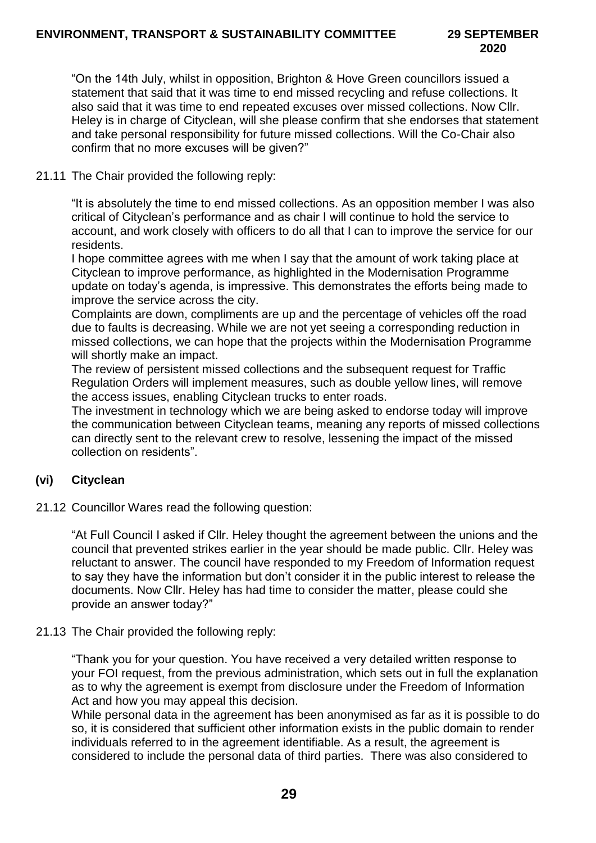"On the 14th July, whilst in opposition, Brighton & Hove Green councillors issued a statement that said that it was time to end missed recycling and refuse collections. It also said that it was time to end repeated excuses over missed collections. Now Cllr. Heley is in charge of Cityclean, will she please confirm that she endorses that statement and take personal responsibility for future missed collections. Will the Co-Chair also confirm that no more excuses will be given?"

# 21.11 The Chair provided the following reply:

"It is absolutely the time to end missed collections. As an opposition member I was also critical of Cityclean's performance and as chair I will continue to hold the service to account, and work closely with officers to do all that I can to improve the service for our residents.

I hope committee agrees with me when I say that the amount of work taking place at Cityclean to improve performance, as highlighted in the Modernisation Programme update on today's agenda, is impressive. This demonstrates the efforts being made to improve the service across the city.

Complaints are down, compliments are up and the percentage of vehicles off the road due to faults is decreasing. While we are not yet seeing a corresponding reduction in missed collections, we can hope that the projects within the Modernisation Programme will shortly make an impact.

The review of persistent missed collections and the subsequent request for Traffic Regulation Orders will implement measures, such as double yellow lines, will remove the access issues, enabling Cityclean trucks to enter roads.

The investment in technology which we are being asked to endorse today will improve the communication between Cityclean teams, meaning any reports of missed collections can directly sent to the relevant crew to resolve, lessening the impact of the missed collection on residents".

# **(vi) Cityclean**

21.12 Councillor Wares read the following question:

"At Full Council I asked if Cllr. Heley thought the agreement between the unions and the council that prevented strikes earlier in the year should be made public. Cllr. Heley was reluctant to answer. The council have responded to my Freedom of Information request to say they have the information but don't consider it in the public interest to release the documents. Now Cllr. Heley has had time to consider the matter, please could she provide an answer today?"

## 21.13 The Chair provided the following reply:

"Thank you for your question. You have received a very detailed written response to your FOI request, from the previous administration, which sets out in full the explanation as to why the agreement is exempt from disclosure under the Freedom of Information Act and how you may appeal this decision.

While personal data in the agreement has been anonymised as far as it is possible to do so, it is considered that sufficient other information exists in the public domain to render individuals referred to in the agreement identifiable. As a result, the agreement is considered to include the personal data of third parties. There was also considered to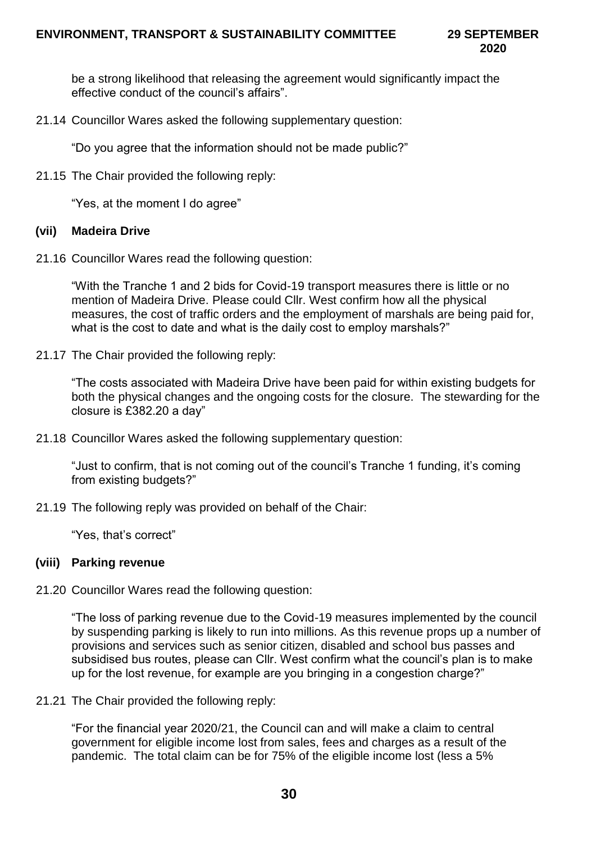**2020**

be a strong likelihood that releasing the agreement would significantly impact the effective conduct of the council's affairs".

21.14 Councillor Wares asked the following supplementary question:

"Do you agree that the information should not be made public?"

21.15 The Chair provided the following reply:

"Yes, at the moment I do agree"

#### **(vii) Madeira Drive**

21.16 Councillor Wares read the following question:

"With the Tranche 1 and 2 bids for Covid-19 transport measures there is little or no mention of Madeira Drive. Please could Cllr. West confirm how all the physical measures, the cost of traffic orders and the employment of marshals are being paid for, what is the cost to date and what is the daily cost to employ marshals?"

21.17 The Chair provided the following reply:

"The costs associated with Madeira Drive have been paid for within existing budgets for both the physical changes and the ongoing costs for the closure. The stewarding for the closure is £382.20 a day"

21.18 Councillor Wares asked the following supplementary question:

"Just to confirm, that is not coming out of the council's Tranche 1 funding, it's coming from existing budgets?"

21.19 The following reply was provided on behalf of the Chair:

"Yes, that's correct"

#### **(viii) Parking revenue**

21.20 Councillor Wares read the following question:

"The loss of parking revenue due to the Covid-19 measures implemented by the council by suspending parking is likely to run into millions. As this revenue props up a number of provisions and services such as senior citizen, disabled and school bus passes and subsidised bus routes, please can Cllr. West confirm what the council's plan is to make up for the lost revenue, for example are you bringing in a congestion charge?"

21.21 The Chair provided the following reply:

"For the financial year 2020/21, the Council can and will make a claim to central government for eligible income lost from sales, fees and charges as a result of the pandemic. The total claim can be for 75% of the eligible income lost (less a 5%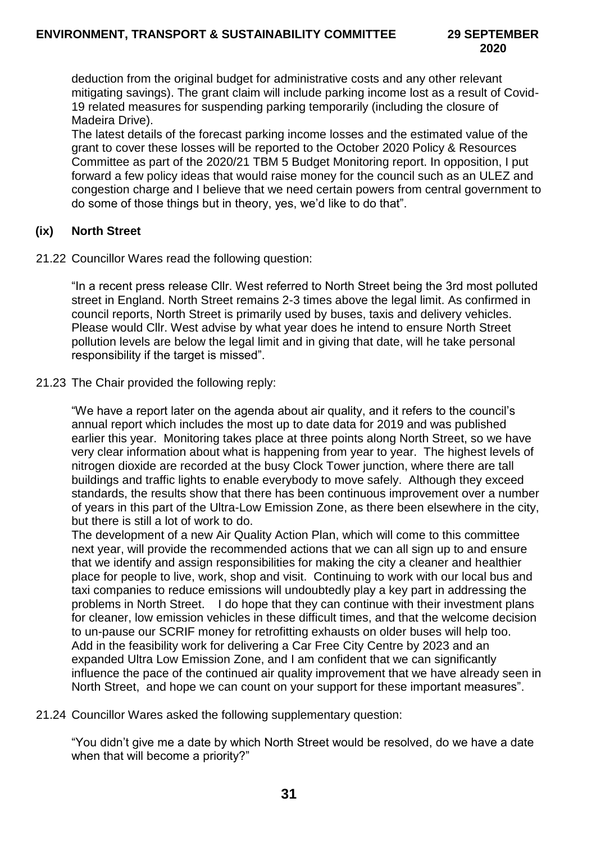deduction from the original budget for administrative costs and any other relevant mitigating savings). The grant claim will include parking income lost as a result of Covid-19 related measures for suspending parking temporarily (including the closure of Madeira Drive).

The latest details of the forecast parking income losses and the estimated value of the grant to cover these losses will be reported to the October 2020 Policy & Resources Committee as part of the 2020/21 TBM 5 Budget Monitoring report. In opposition, I put forward a few policy ideas that would raise money for the council such as an ULEZ and congestion charge and I believe that we need certain powers from central government to do some of those things but in theory, yes, we'd like to do that".

## **(ix) North Street**

21.22 Councillor Wares read the following question:

"In a recent press release Cllr. West referred to North Street being the 3rd most polluted street in England. North Street remains 2-3 times above the legal limit. As confirmed in council reports, North Street is primarily used by buses, taxis and delivery vehicles. Please would Cllr. West advise by what year does he intend to ensure North Street pollution levels are below the legal limit and in giving that date, will he take personal responsibility if the target is missed".

21.23 The Chair provided the following reply:

"We have a report later on the agenda about air quality, and it refers to the council's annual report which includes the most up to date data for 2019 and was published earlier this year. Monitoring takes place at three points along North Street, so we have very clear information about what is happening from year to year. The highest levels of nitrogen dioxide are recorded at the busy Clock Tower junction, where there are tall buildings and traffic lights to enable everybody to move safely. Although they exceed standards, the results show that there has been continuous improvement over a number of years in this part of the Ultra-Low Emission Zone, as there been elsewhere in the city, but there is still a lot of work to do.

The development of a new Air Quality Action Plan, which will come to this committee next year, will provide the recommended actions that we can all sign up to and ensure that we identify and assign responsibilities for making the city a cleaner and healthier place for people to live, work, shop and visit. Continuing to work with our local bus and taxi companies to reduce emissions will undoubtedly play a key part in addressing the problems in North Street. I do hope that they can continue with their investment plans for cleaner, low emission vehicles in these difficult times, and that the welcome decision to un-pause our SCRIF money for retrofitting exhausts on older buses will help too. Add in the feasibility work for delivering a Car Free City Centre by 2023 and an expanded Ultra Low Emission Zone, and I am confident that we can significantly influence the pace of the continued air quality improvement that we have already seen in North Street, and hope we can count on your support for these important measures".

21.24 Councillor Wares asked the following supplementary question:

"You didn't give me a date by which North Street would be resolved, do we have a date when that will become a priority?"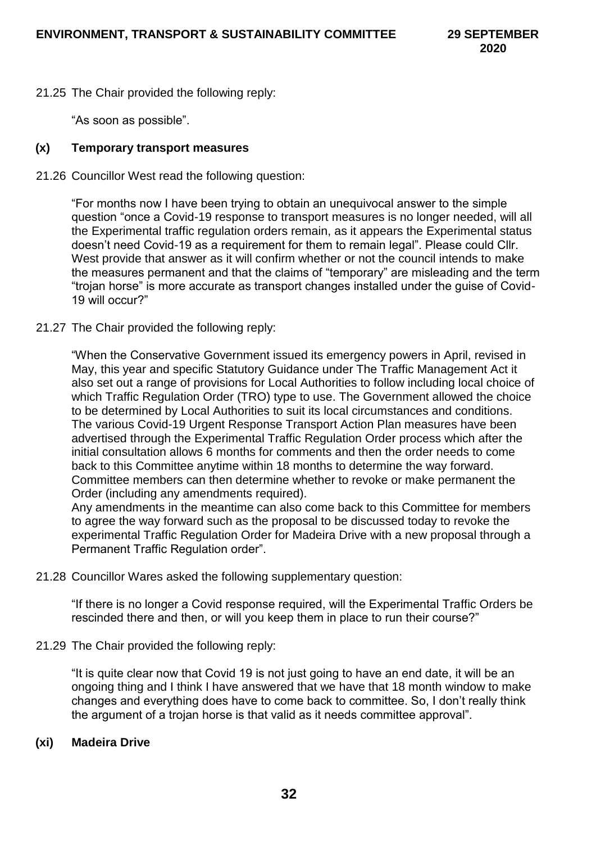21.25 The Chair provided the following reply:

"As soon as possible".

# **(x) Temporary transport measures**

21.26 Councillor West read the following question:

"For months now I have been trying to obtain an unequivocal answer to the simple question "once a Covid-19 response to transport measures is no longer needed, will all the Experimental traffic regulation orders remain, as it appears the Experimental status doesn't need Covid-19 as a requirement for them to remain legal". Please could Cllr. West provide that answer as it will confirm whether or not the council intends to make the measures permanent and that the claims of "temporary" are misleading and the term "trojan horse" is more accurate as transport changes installed under the guise of Covid-19 will occur?"

21.27 The Chair provided the following reply:

"When the Conservative Government issued its emergency powers in April, revised in May, this year and specific Statutory Guidance under The Traffic Management Act it also set out a range of provisions for Local Authorities to follow including local choice of which Traffic Regulation Order (TRO) type to use. The Government allowed the choice to be determined by Local Authorities to suit its local circumstances and conditions. The various Covid-19 Urgent Response Transport Action Plan measures have been advertised through the Experimental Traffic Regulation Order process which after the initial consultation allows 6 months for comments and then the order needs to come back to this Committee anytime within 18 months to determine the way forward. Committee members can then determine whether to revoke or make permanent the Order (including any amendments required).

Any amendments in the meantime can also come back to this Committee for members to agree the way forward such as the proposal to be discussed today to revoke the experimental Traffic Regulation Order for Madeira Drive with a new proposal through a Permanent Traffic Regulation order".

21.28 Councillor Wares asked the following supplementary question:

"If there is no longer a Covid response required, will the Experimental Traffic Orders be rescinded there and then, or will you keep them in place to run their course?"

21.29 The Chair provided the following reply:

"It is quite clear now that Covid 19 is not just going to have an end date, it will be an ongoing thing and I think I have answered that we have that 18 month window to make changes and everything does have to come back to committee. So, I don't really think the argument of a trojan horse is that valid as it needs committee approval".

## **(xi) Madeira Drive**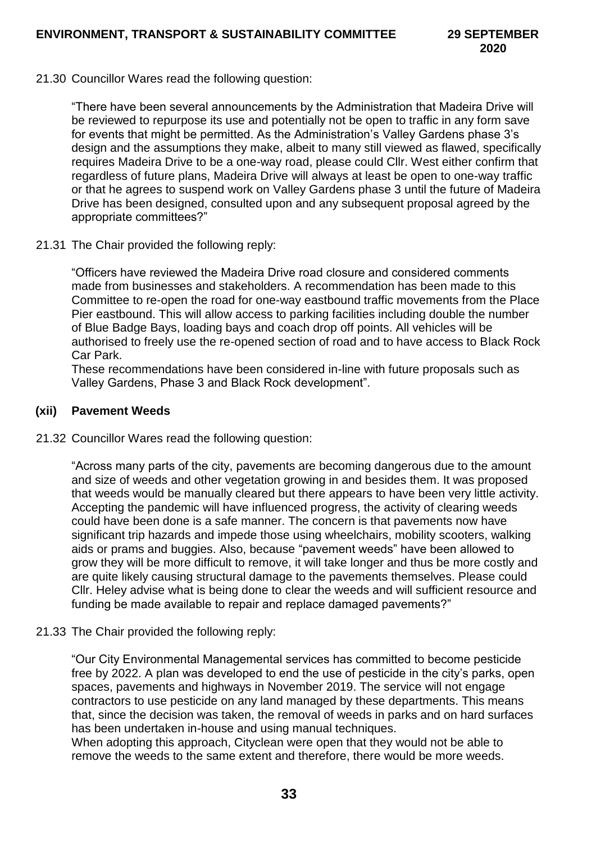21.30 Councillor Wares read the following question:

"There have been several announcements by the Administration that Madeira Drive will be reviewed to repurpose its use and potentially not be open to traffic in any form save for events that might be permitted. As the Administration's Valley Gardens phase 3's design and the assumptions they make, albeit to many still viewed as flawed, specifically requires Madeira Drive to be a one-way road, please could Cllr. West either confirm that regardless of future plans, Madeira Drive will always at least be open to one-way traffic or that he agrees to suspend work on Valley Gardens phase 3 until the future of Madeira Drive has been designed, consulted upon and any subsequent proposal agreed by the appropriate committees?"

21.31 The Chair provided the following reply:

"Officers have reviewed the Madeira Drive road closure and considered comments made from businesses and stakeholders. A recommendation has been made to this Committee to re-open the road for one-way eastbound traffic movements from the Place Pier eastbound. This will allow access to parking facilities including double the number of Blue Badge Bays, loading bays and coach drop off points. All vehicles will be authorised to freely use the re-opened section of road and to have access to Black Rock Car Park.

These recommendations have been considered in-line with future proposals such as Valley Gardens, Phase 3 and Black Rock development".

## **(xii) Pavement Weeds**

21.32 Councillor Wares read the following question:

"Across many parts of the city, pavements are becoming dangerous due to the amount and size of weeds and other vegetation growing in and besides them. It was proposed that weeds would be manually cleared but there appears to have been very little activity. Accepting the pandemic will have influenced progress, the activity of clearing weeds could have been done is a safe manner. The concern is that pavements now have significant trip hazards and impede those using wheelchairs, mobility scooters, walking aids or prams and buggies. Also, because "pavement weeds" have been allowed to grow they will be more difficult to remove, it will take longer and thus be more costly and are quite likely causing structural damage to the pavements themselves. Please could Cllr. Heley advise what is being done to clear the weeds and will sufficient resource and funding be made available to repair and replace damaged pavements?"

#### 21.33 The Chair provided the following reply:

"Our City Environmental Managemental services has committed to become pesticide free by 2022. A plan was developed to end the use of pesticide in the city's parks, open spaces, pavements and highways in November 2019. The service will not engage contractors to use pesticide on any land managed by these departments. This means that, since the decision was taken, the removal of weeds in parks and on hard surfaces has been undertaken in-house and using manual techniques.

When adopting this approach, Cityclean were open that they would not be able to remove the weeds to the same extent and therefore, there would be more weeds.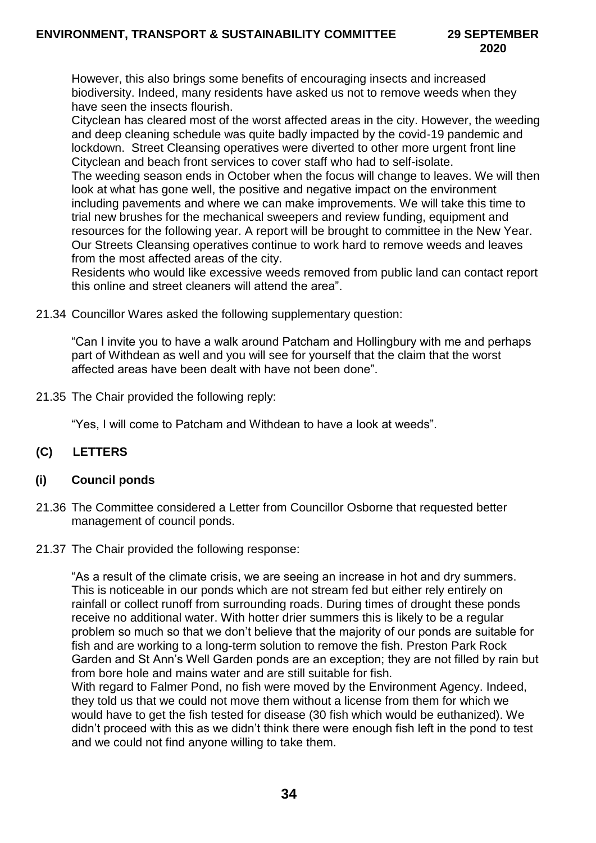However, this also brings some benefits of encouraging insects and increased biodiversity. Indeed, many residents have asked us not to remove weeds when they have seen the insects flourish.

Cityclean has cleared most of the worst affected areas in the city. However, the weeding and deep cleaning schedule was quite badly impacted by the covid-19 pandemic and lockdown. Street Cleansing operatives were diverted to other more urgent front line Cityclean and beach front services to cover staff who had to self-isolate.

The weeding season ends in October when the focus will change to leaves. We will then look at what has gone well, the positive and negative impact on the environment including pavements and where we can make improvements. We will take this time to trial new brushes for the mechanical sweepers and review funding, equipment and resources for the following year. A report will be brought to committee in the New Year. Our Streets Cleansing operatives continue to work hard to remove weeds and leaves from the most affected areas of the city.

Residents who would like excessive weeds removed from public land can contact report this online and street cleaners will attend the area".

21.34 Councillor Wares asked the following supplementary question:

"Can I invite you to have a walk around Patcham and Hollingbury with me and perhaps part of Withdean as well and you will see for yourself that the claim that the worst affected areas have been dealt with have not been done".

21.35 The Chair provided the following reply:

"Yes, I will come to Patcham and Withdean to have a look at weeds".

# **(C) LETTERS**

## **(i) Council ponds**

- 21.36 The Committee considered a Letter from Councillor Osborne that requested better management of council ponds.
- 21.37 The Chair provided the following response:

"As a result of the climate crisis, we are seeing an increase in hot and dry summers. This is noticeable in our ponds which are not stream fed but either rely entirely on rainfall or collect runoff from surrounding roads. During times of drought these ponds receive no additional water. With hotter drier summers this is likely to be a regular problem so much so that we don't believe that the majority of our ponds are suitable for fish and are working to a long-term solution to remove the fish. Preston Park Rock Garden and St Ann's Well Garden ponds are an exception; they are not filled by rain but from bore hole and mains water and are still suitable for fish.

With regard to Falmer Pond, no fish were moved by the Environment Agency. Indeed, they told us that we could not move them without a license from them for which we would have to get the fish tested for disease (30 fish which would be euthanized). We didn't proceed with this as we didn't think there were enough fish left in the pond to test and we could not find anyone willing to take them.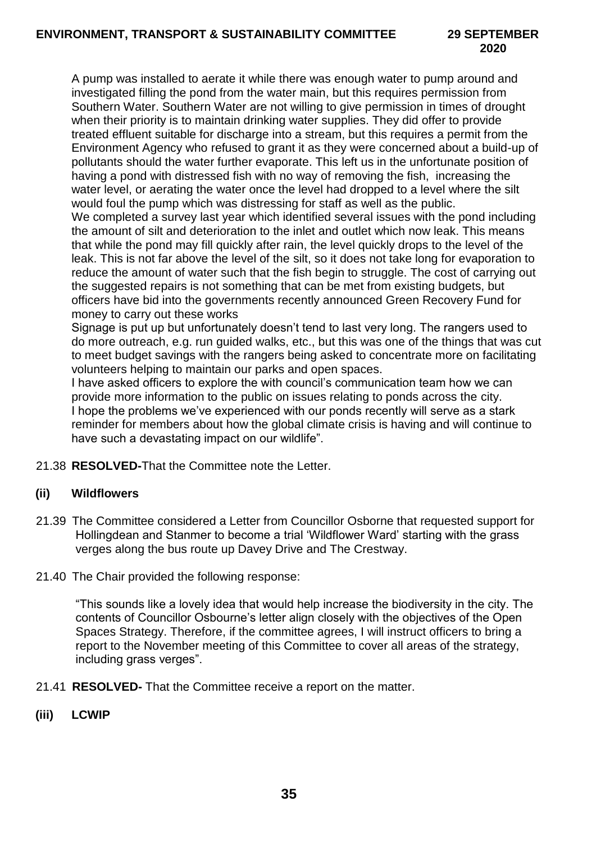A pump was installed to aerate it while there was enough water to pump around and investigated filling the pond from the water main, but this requires permission from Southern Water. Southern Water are not willing to give permission in times of drought when their priority is to maintain drinking water supplies. They did offer to provide treated effluent suitable for discharge into a stream, but this requires a permit from the Environment Agency who refused to grant it as they were concerned about a build-up of pollutants should the water further evaporate. This left us in the unfortunate position of having a pond with distressed fish with no way of removing the fish, increasing the water level, or aerating the water once the level had dropped to a level where the silt would foul the pump which was distressing for staff as well as the public.

We completed a survey last year which identified several issues with the pond including the amount of silt and deterioration to the inlet and outlet which now leak. This means that while the pond may fill quickly after rain, the level quickly drops to the level of the leak. This is not far above the level of the silt, so it does not take long for evaporation to reduce the amount of water such that the fish begin to struggle. The cost of carrying out the suggested repairs is not something that can be met from existing budgets, but officers have bid into the governments recently announced Green Recovery Fund for money to carry out these works

Signage is put up but unfortunately doesn't tend to last very long. The rangers used to do more outreach, e.g. run guided walks, etc., but this was one of the things that was cut to meet budget savings with the rangers being asked to concentrate more on facilitating volunteers helping to maintain our parks and open spaces.

I have asked officers to explore the with council's communication team how we can provide more information to the public on issues relating to ponds across the city. I hope the problems we've experienced with our ponds recently will serve as a stark reminder for members about how the global climate crisis is having and will continue to have such a devastating impact on our wildlife".

21.38 **RESOLVED-**That the Committee note the Letter.

## **(ii) Wildflowers**

- 21.39 The Committee considered a Letter from Councillor Osborne that requested support for Hollingdean and Stanmer to become a trial 'Wildflower Ward' starting with the grass verges along the bus route up Davey Drive and The Crestway.
- 21.40 The Chair provided the following response:

"This sounds like a lovely idea that would help increase the biodiversity in the city. The contents of Councillor Osbourne's letter align closely with the objectives of the Open Spaces Strategy. Therefore, if the committee agrees, I will instruct officers to bring a report to the November meeting of this Committee to cover all areas of the strategy, including grass verges".

21.41 **RESOLVED-** That the Committee receive a report on the matter.

## **(iii) LCWIP**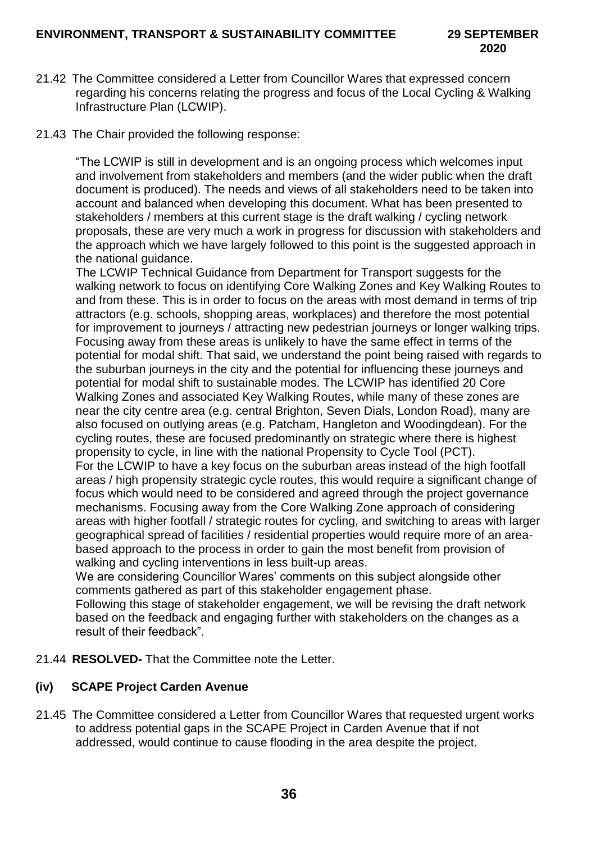- 21.42 The Committee considered a Letter from Councillor Wares that expressed concern regarding his concerns relating the progress and focus of the Local Cycling & Walking Infrastructure Plan (LCWIP).
- 21.43 The Chair provided the following response:

"The LCWIP is still in development and is an ongoing process which welcomes input and involvement from stakeholders and members (and the wider public when the draft document is produced). The needs and views of all stakeholders need to be taken into account and balanced when developing this document. What has been presented to stakeholders / members at this current stage is the draft walking / cycling network proposals, these are very much a work in progress for discussion with stakeholders and the approach which we have largely followed to this point is the suggested approach in the national guidance.

The LCWIP Technical Guidance from Department for Transport suggests for the walking network to focus on identifying Core Walking Zones and Key Walking Routes to and from these. This is in order to focus on the areas with most demand in terms of trip attractors (e.g. schools, shopping areas, workplaces) and therefore the most potential for improvement to journeys / attracting new pedestrian journeys or longer walking trips. Focusing away from these areas is unlikely to have the same effect in terms of the potential for modal shift. That said, we understand the point being raised with regards to the suburban journeys in the city and the potential for influencing these journeys and potential for modal shift to sustainable modes. The LCWIP has identified 20 Core Walking Zones and associated Key Walking Routes, while many of these zones are near the city centre area (e.g. central Brighton, Seven Dials, London Road), many are also focused on outlying areas (e.g. Patcham, Hangleton and Woodingdean). For the cycling routes, these are focused predominantly on strategic where there is highest propensity to cycle, in line with the national Propensity to Cycle Tool (PCT). For the LCWIP to have a key focus on the suburban areas instead of the high footfall areas / high propensity strategic cycle routes, this would require a significant change of focus which would need to be considered and agreed through the project governance mechanisms. Focusing away from the Core Walking Zone approach of considering areas with higher footfall / strategic routes for cycling, and switching to areas with larger geographical spread of facilities / residential properties would require more of an areabased approach to the process in order to gain the most benefit from provision of walking and cycling interventions in less built-up areas.

We are considering Councillor Wares' comments on this subject alongside other comments gathered as part of this stakeholder engagement phase.

Following this stage of stakeholder engagement, we will be revising the draft network based on the feedback and engaging further with stakeholders on the changes as a result of their feedback".

21.44 **RESOLVED-** That the Committee note the Letter.

# **(iv) SCAPE Project Carden Avenue**

21.45 The Committee considered a Letter from Councillor Wares that requested urgent works to address potential gaps in the SCAPE Project in Carden Avenue that if not addressed, would continue to cause flooding in the area despite the project.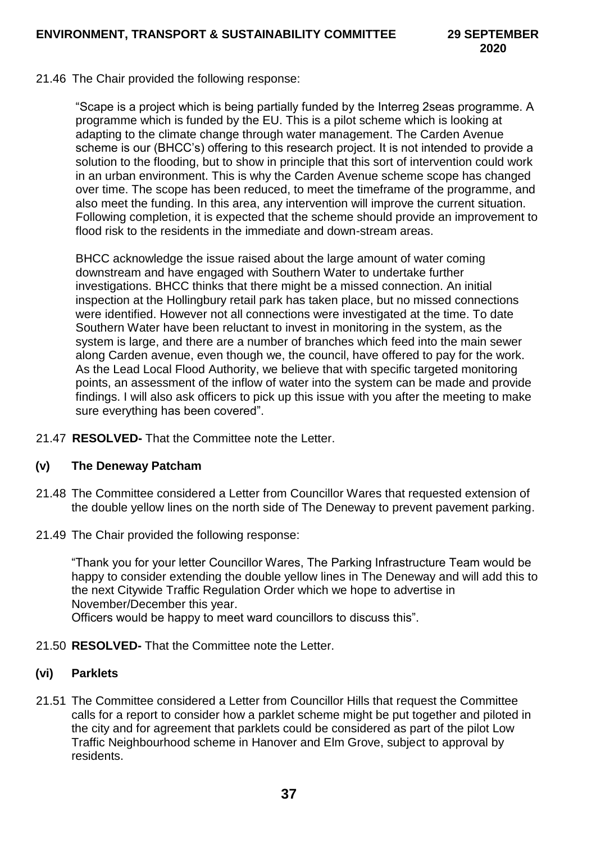21.46 The Chair provided the following response:

"Scape is a project which is being partially funded by the Interreg 2seas programme. A programme which is funded by the EU. This is a pilot scheme which is looking at adapting to the climate change through water management. The Carden Avenue scheme is our (BHCC's) offering to this research project. It is not intended to provide a solution to the flooding, but to show in principle that this sort of intervention could work in an urban environment. This is why the Carden Avenue scheme scope has changed over time. The scope has been reduced, to meet the timeframe of the programme, and also meet the funding. In this area, any intervention will improve the current situation. Following completion, it is expected that the scheme should provide an improvement to flood risk to the residents in the immediate and down-stream areas.

BHCC acknowledge the issue raised about the large amount of water coming downstream and have engaged with Southern Water to undertake further investigations. BHCC thinks that there might be a missed connection. An initial inspection at the Hollingbury retail park has taken place, but no missed connections were identified. However not all connections were investigated at the time. To date Southern Water have been reluctant to invest in monitoring in the system, as the system is large, and there are a number of branches which feed into the main sewer along Carden avenue, even though we, the council, have offered to pay for the work. As the Lead Local Flood Authority, we believe that with specific targeted monitoring points, an assessment of the inflow of water into the system can be made and provide findings. I will also ask officers to pick up this issue with you after the meeting to make sure everything has been covered".

21.47 **RESOLVED-** That the Committee note the Letter.

## **(v) The Deneway Patcham**

- 21.48 The Committee considered a Letter from Councillor Wares that requested extension of the double yellow lines on the north side of The Deneway to prevent pavement parking.
- 21.49 The Chair provided the following response:

"Thank you for your letter Councillor Wares, The Parking Infrastructure Team would be happy to consider extending the double yellow lines in The Deneway and will add this to the next Citywide Traffic Regulation Order which we hope to advertise in November/December this year.

Officers would be happy to meet ward councillors to discuss this".

21.50 **RESOLVED-** That the Committee note the Letter.

## **(vi) Parklets**

21.51 The Committee considered a Letter from Councillor Hills that request the Committee calls for a report to consider how a parklet scheme might be put together and piloted in the city and for agreement that parklets could be considered as part of the pilot Low Traffic Neighbourhood scheme in Hanover and Elm Grove, subject to approval by residents.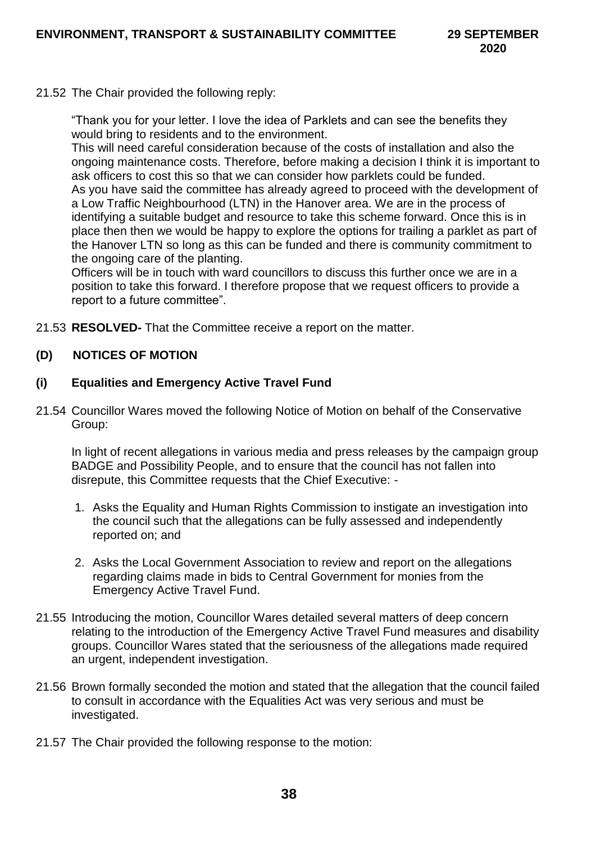21.52 The Chair provided the following reply:

"Thank you for your letter. I love the idea of Parklets and can see the benefits they would bring to residents and to the environment.

This will need careful consideration because of the costs of installation and also the ongoing maintenance costs. Therefore, before making a decision I think it is important to ask officers to cost this so that we can consider how parklets could be funded. As you have said the committee has already agreed to proceed with the development of a Low Traffic Neighbourhood (LTN) in the Hanover area. We are in the process of identifying a suitable budget and resource to take this scheme forward. Once this is in place then then we would be happy to explore the options for trailing a parklet as part of the Hanover LTN so long as this can be funded and there is community commitment to the ongoing care of the planting.

Officers will be in touch with ward councillors to discuss this further once we are in a position to take this forward. I therefore propose that we request officers to provide a report to a future committee".

21.53 **RESOLVED-** That the Committee receive a report on the matter.

# **(D) NOTICES OF MOTION**

#### **(i) Equalities and Emergency Active Travel Fund**

21.54 Councillor Wares moved the following Notice of Motion on behalf of the Conservative Group:

In light of recent allegations in various media and press releases by the campaign group BADGE and Possibility People, and to ensure that the council has not fallen into disrepute, this Committee requests that the Chief Executive: -

- 1. Asks the Equality and Human Rights Commission to instigate an investigation into the council such that the allegations can be fully assessed and independently reported on; and
- 2. Asks the Local Government Association to review and report on the allegations regarding claims made in bids to Central Government for monies from the Emergency Active Travel Fund.
- 21.55 Introducing the motion, Councillor Wares detailed several matters of deep concern relating to the introduction of the Emergency Active Travel Fund measures and disability groups. Councillor Wares stated that the seriousness of the allegations made required an urgent, independent investigation.
- 21.56 Brown formally seconded the motion and stated that the allegation that the council failed to consult in accordance with the Equalities Act was very serious and must be investigated.
- 21.57 The Chair provided the following response to the motion: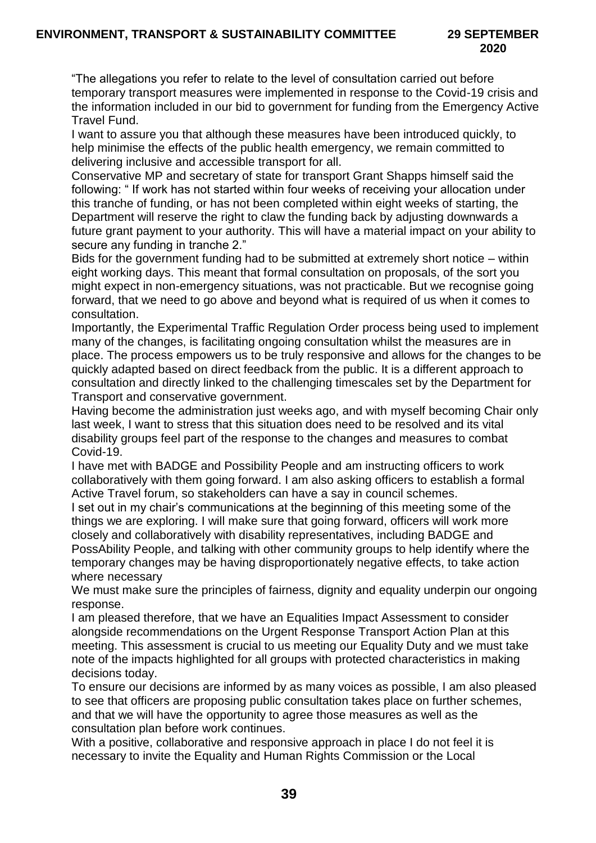"The allegations you refer to relate to the level of consultation carried out before temporary transport measures were implemented in response to the Covid-19 crisis and the information included in our bid to government for funding from the Emergency Active Travel Fund.

I want to assure you that although these measures have been introduced quickly, to help minimise the effects of the public health emergency, we remain committed to delivering inclusive and accessible transport for all.

Conservative MP and secretary of state for transport Grant Shapps himself said the following: " If work has not started within four weeks of receiving your allocation under this tranche of funding, or has not been completed within eight weeks of starting, the Department will reserve the right to claw the funding back by adjusting downwards a future grant payment to your authority. This will have a material impact on your ability to secure any funding in tranche 2."

Bids for the government funding had to be submitted at extremely short notice – within eight working days. This meant that formal consultation on proposals, of the sort you might expect in non-emergency situations, was not practicable. But we recognise going forward, that we need to go above and beyond what is required of us when it comes to consultation.

Importantly, the Experimental Traffic Regulation Order process being used to implement many of the changes, is facilitating ongoing consultation whilst the measures are in place. The process empowers us to be truly responsive and allows for the changes to be quickly adapted based on direct feedback from the public. It is a different approach to consultation and directly linked to the challenging timescales set by the Department for Transport and conservative government.

Having become the administration just weeks ago, and with myself becoming Chair only last week, I want to stress that this situation does need to be resolved and its vital disability groups feel part of the response to the changes and measures to combat Covid-19.

I have met with BADGE and Possibility People and am instructing officers to work collaboratively with them going forward. I am also asking officers to establish a formal Active Travel forum, so stakeholders can have a say in council schemes.

I set out in my chair's communications at the beginning of this meeting some of the things we are exploring. I will make sure that going forward, officers will work more closely and collaboratively with disability representatives, including BADGE and PossAbility People, and talking with other community groups to help identify where the temporary changes may be having disproportionately negative effects, to take action where necessary

We must make sure the principles of fairness, dignity and equality underpin our ongoing response.

I am pleased therefore, that we have an Equalities Impact Assessment to consider alongside recommendations on the Urgent Response Transport Action Plan at this meeting. This assessment is crucial to us meeting our Equality Duty and we must take note of the impacts highlighted for all groups with protected characteristics in making decisions today.

To ensure our decisions are informed by as many voices as possible, I am also pleased to see that officers are proposing public consultation takes place on further schemes, and that we will have the opportunity to agree those measures as well as the consultation plan before work continues.

With a positive, collaborative and responsive approach in place I do not feel it is necessary to invite the Equality and Human Rights Commission or the Local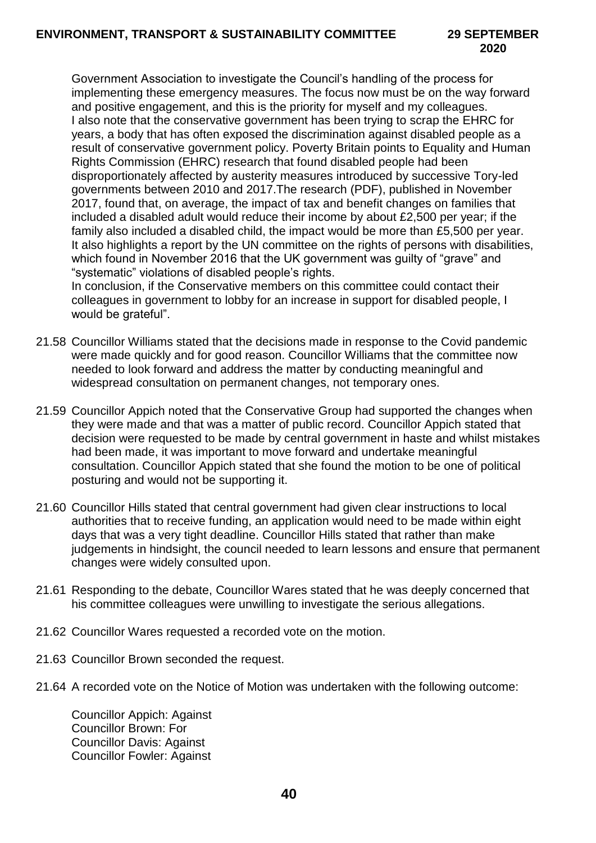Government Association to investigate the Council's handling of the process for implementing these emergency measures. The focus now must be on the way forward and positive engagement, and this is the priority for myself and my colleagues. I also note that the conservative government has been trying to scrap the EHRC for years, a body that has often exposed the discrimination against disabled people as a result of conservative government policy. Poverty Britain points to Equality and Human Rights Commission (EHRC) research that found disabled people had been disproportionately affected by austerity measures introduced by successive Tory-led governments between 2010 and 2017.The research (PDF), published in November 2017, found that, on average, the impact of tax and benefit changes on families that included a disabled adult would reduce their income by about £2,500 per year; if the family also included a disabled child, the impact would be more than £5,500 per year. It also highlights a report by the UN committee on the rights of persons with disabilities, which found in November 2016 that the UK government was guilty of "grave" and "systematic" violations of disabled people's rights.

In conclusion, if the Conservative members on this committee could contact their colleagues in government to lobby for an increase in support for disabled people, I would be grateful".

- 21.58 Councillor Williams stated that the decisions made in response to the Covid pandemic were made quickly and for good reason. Councillor Williams that the committee now needed to look forward and address the matter by conducting meaningful and widespread consultation on permanent changes, not temporary ones.
- 21.59 Councillor Appich noted that the Conservative Group had supported the changes when they were made and that was a matter of public record. Councillor Appich stated that decision were requested to be made by central government in haste and whilst mistakes had been made, it was important to move forward and undertake meaningful consultation. Councillor Appich stated that she found the motion to be one of political posturing and would not be supporting it.
- 21.60 Councillor Hills stated that central government had given clear instructions to local authorities that to receive funding, an application would need to be made within eight days that was a very tight deadline. Councillor Hills stated that rather than make judgements in hindsight, the council needed to learn lessons and ensure that permanent changes were widely consulted upon.
- 21.61 Responding to the debate, Councillor Wares stated that he was deeply concerned that his committee colleagues were unwilling to investigate the serious allegations.
- 21.62 Councillor Wares requested a recorded vote on the motion.
- 21.63 Councillor Brown seconded the request.
- 21.64 A recorded vote on the Notice of Motion was undertaken with the following outcome:

Councillor Appich: Against Councillor Brown: For Councillor Davis: Against Councillor Fowler: Against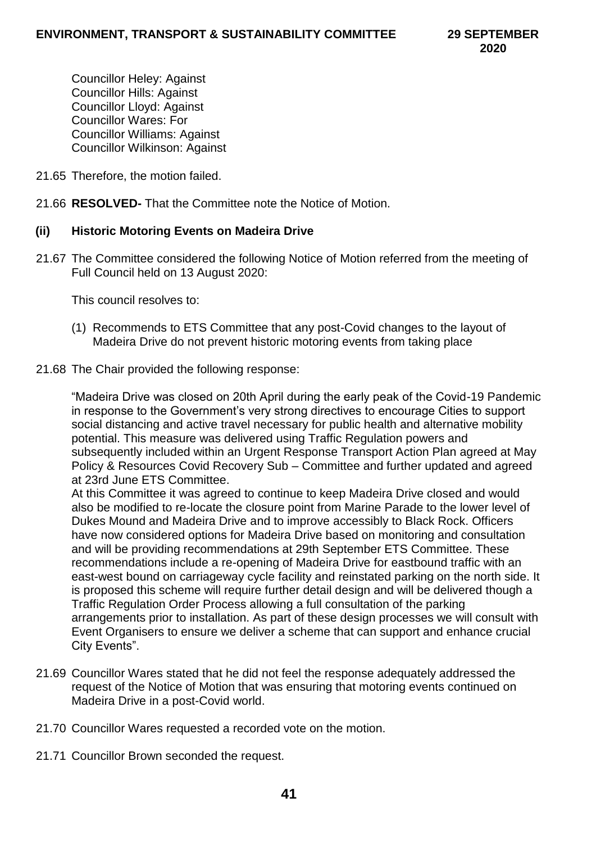Councillor Heley: Against Councillor Hills: Against Councillor Lloyd: Against Councillor Wares: For Councillor Williams: Against Councillor Wilkinson: Against

- 21.65 Therefore, the motion failed.
- 21.66 **RESOLVED-** That the Committee note the Notice of Motion.

#### **(ii) Historic Motoring Events on Madeira Drive**

21.67 The Committee considered the following Notice of Motion referred from the meeting of Full Council held on 13 August 2020:

This council resolves to:

(1) Recommends to ETS Committee that any post-Covid changes to the layout of Madeira Drive do not prevent historic motoring events from taking place

#### 21.68 The Chair provided the following response:

"Madeira Drive was closed on 20th April during the early peak of the Covid-19 Pandemic in response to the Government's very strong directives to encourage Cities to support social distancing and active travel necessary for public health and alternative mobility potential. This measure was delivered using Traffic Regulation powers and subsequently included within an Urgent Response Transport Action Plan agreed at May Policy & Resources Covid Recovery Sub – Committee and further updated and agreed at 23rd June ETS Committee.

At this Committee it was agreed to continue to keep Madeira Drive closed and would also be modified to re-locate the closure point from Marine Parade to the lower level of Dukes Mound and Madeira Drive and to improve accessibly to Black Rock. Officers have now considered options for Madeira Drive based on monitoring and consultation and will be providing recommendations at 29th September ETS Committee. These recommendations include a re-opening of Madeira Drive for eastbound traffic with an east-west bound on carriageway cycle facility and reinstated parking on the north side. It is proposed this scheme will require further detail design and will be delivered though a Traffic Regulation Order Process allowing a full consultation of the parking arrangements prior to installation. As part of these design processes we will consult with Event Organisers to ensure we deliver a scheme that can support and enhance crucial City Events".

- 21.69 Councillor Wares stated that he did not feel the response adequately addressed the request of the Notice of Motion that was ensuring that motoring events continued on Madeira Drive in a post-Covid world.
- 21.70 Councillor Wares requested a recorded vote on the motion.
- 21.71 Councillor Brown seconded the request.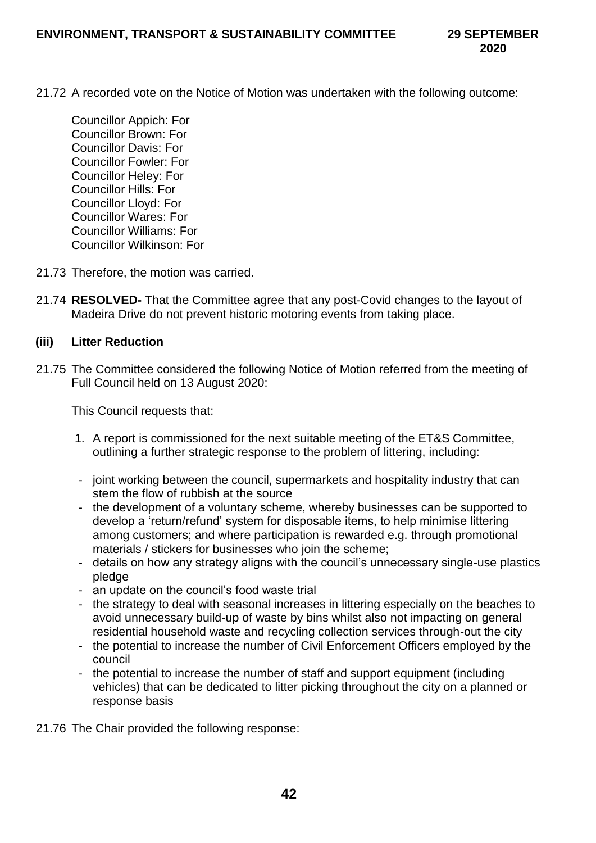- 21.72 A recorded vote on the Notice of Motion was undertaken with the following outcome:
	- Councillor Appich: For Councillor Brown: For Councillor Davis: For Councillor Fowler: For Councillor Heley: For Councillor Hills: For Councillor Lloyd: For Councillor Wares: For Councillor Williams: For Councillor Wilkinson: For
- 21.73 Therefore, the motion was carried.
- 21.74 **RESOLVED-** That the Committee agree that any post-Covid changes to the layout of Madeira Drive do not prevent historic motoring events from taking place.

## **(iii) Litter Reduction**

21.75 The Committee considered the following Notice of Motion referred from the meeting of Full Council held on 13 August 2020:

This Council requests that:

- 1. A report is commissioned for the next suitable meeting of the ET&S Committee, outlining a further strategic response to the problem of littering, including:
- joint working between the council, supermarkets and hospitality industry that can stem the flow of rubbish at the source
- the development of a voluntary scheme, whereby businesses can be supported to develop a 'return/refund' system for disposable items, to help minimise littering among customers; and where participation is rewarded e.g. through promotional materials / stickers for businesses who join the scheme;
- details on how any strategy aligns with the council's unnecessary single-use plastics pledge
- an update on the council's food waste trial
- the strategy to deal with seasonal increases in littering especially on the beaches to avoid unnecessary build-up of waste by bins whilst also not impacting on general residential household waste and recycling collection services through-out the city
- the potential to increase the number of Civil Enforcement Officers employed by the council
- the potential to increase the number of staff and support equipment (including vehicles) that can be dedicated to litter picking throughout the city on a planned or response basis
- 21.76 The Chair provided the following response: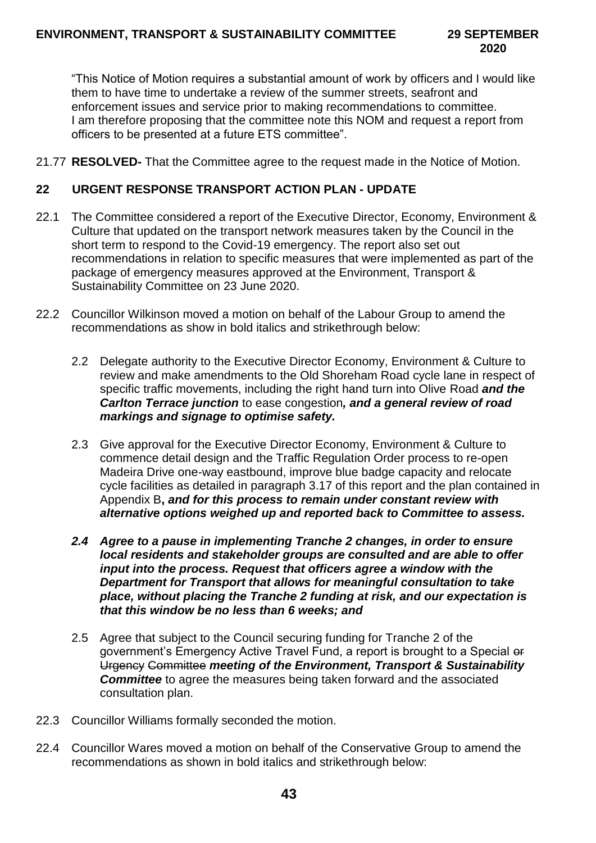# **2020**

"This Notice of Motion requires a substantial amount of work by officers and I would like them to have time to undertake a review of the summer streets, seafront and enforcement issues and service prior to making recommendations to committee. I am therefore proposing that the committee note this NOM and request a report from officers to be presented at a future ETS committee".

21.77 **RESOLVED-** That the Committee agree to the request made in the Notice of Motion.

#### **22 URGENT RESPONSE TRANSPORT ACTION PLAN - UPDATE**

- 22.1 The Committee considered a report of the Executive Director, Economy, Environment & Culture that updated on the transport network measures taken by the Council in the short term to respond to the Covid-19 emergency. The report also set out recommendations in relation to specific measures that were implemented as part of the package of emergency measures approved at the Environment, Transport & Sustainability Committee on 23 June 2020.
- 22.2 Councillor Wilkinson moved a motion on behalf of the Labour Group to amend the recommendations as show in bold italics and strikethrough below:
	- 2.2 Delegate authority to the Executive Director Economy, Environment & Culture to review and make amendments to the Old Shoreham Road cycle lane in respect of specific traffic movements, including the right hand turn into Olive Road *and the Carlton Terrace junction* to ease congestion*, and a general review of road markings and signage to optimise safety.*
	- 2.3 Give approval for the Executive Director Economy, Environment & Culture to commence detail design and the Traffic Regulation Order process to re-open Madeira Drive one-way eastbound, improve blue badge capacity and relocate cycle facilities as detailed in paragraph 3.17 of this report and the plan contained in Appendix B**,** *and for this process to remain under constant review with alternative options weighed up and reported back to Committee to assess.*
	- *2.4 Agree to a pause in implementing Tranche 2 changes, in order to ensure local residents and stakeholder groups are consulted and are able to offer input into the process. Request that officers agree a window with the Department for Transport that allows for meaningful consultation to take place, without placing the Tranche 2 funding at risk, and our expectation is that this window be no less than 6 weeks; and*
	- 2.5 Agree that subject to the Council securing funding for Tranche 2 of the government's Emergency Active Travel Fund, a report is brought to a Special or Urgency Committee *meeting of the Environment, Transport & Sustainability Committee* to agree the measures being taken forward and the associated consultation plan.
- 22.3 Councillor Williams formally seconded the motion.
- 22.4 Councillor Wares moved a motion on behalf of the Conservative Group to amend the recommendations as shown in bold italics and strikethrough below: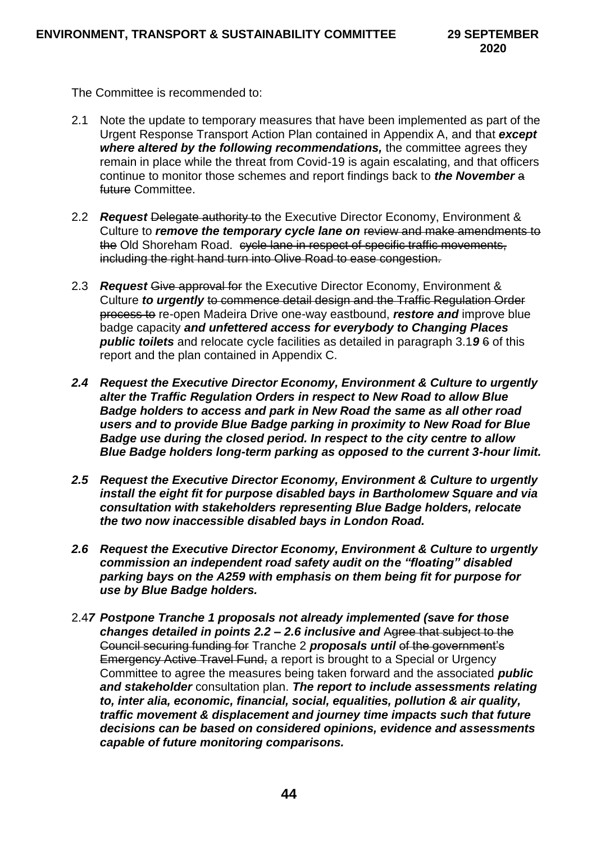The Committee is recommended to:

- 2.1 Note the update to temporary measures that have been implemented as part of the Urgent Response Transport Action Plan contained in Appendix A, and that *except where altered by the following recommendations,* the committee agrees they remain in place while the threat from Covid-19 is again escalating, and that officers continue to monitor those schemes and report findings back to *the November* a future Committee.
- 2.2 *Request* Delegate authority to the Executive Director Economy, Environment & Culture to *remove the temporary cycle lane on* review and make amendments to the Old Shoreham Road. cycle lane in respect of specific traffic movements, including the right hand turn into Olive Road to ease congestion.
- 2.3 *Request* Give approval for the Executive Director Economy, Environment & Culture *to urgently* to commence detail design and the Traffic Regulation Order process to re-open Madeira Drive one-way eastbound, *restore and* improve blue badge capacity *and unfettered access for everybody to Changing Places public toilets* and relocate cycle facilities as detailed in paragraph 3.1*9* 6 of this report and the plan contained in Appendix C.
- *2.4 Request the Executive Director Economy, Environment & Culture to urgently alter the Traffic Regulation Orders in respect to New Road to allow Blue Badge holders to access and park in New Road the same as all other road users and to provide Blue Badge parking in proximity to New Road for Blue Badge use during the closed period. In respect to the city centre to allow Blue Badge holders long-term parking as opposed to the current 3-hour limit.*
- *2.5 Request the Executive Director Economy, Environment & Culture to urgently install the eight fit for purpose disabled bays in Bartholomew Square and via consultation with stakeholders representing Blue Badge holders, relocate the two now inaccessible disabled bays in London Road.*
- *2.6 Request the Executive Director Economy, Environment & Culture to urgently commission an independent road safety audit on the "floating" disabled parking bays on the A259 with emphasis on them being fit for purpose for use by Blue Badge holders.*
- 2.4*7 Postpone Tranche 1 proposals not already implemented (save for those changes detailed in points 2.2 – 2.6 inclusive and* Agree that subject to the Council securing funding for Tranche 2 *proposals until* of the government's Emergency Active Travel Fund, a report is brought to a Special or Urgency Committee to agree the measures being taken forward and the associated *public and stakeholder* consultation plan. *The report to include assessments relating to, inter alia, economic, financial, social, equalities, pollution & air quality, traffic movement & displacement and journey time impacts such that future decisions can be based on considered opinions, evidence and assessments capable of future monitoring comparisons.*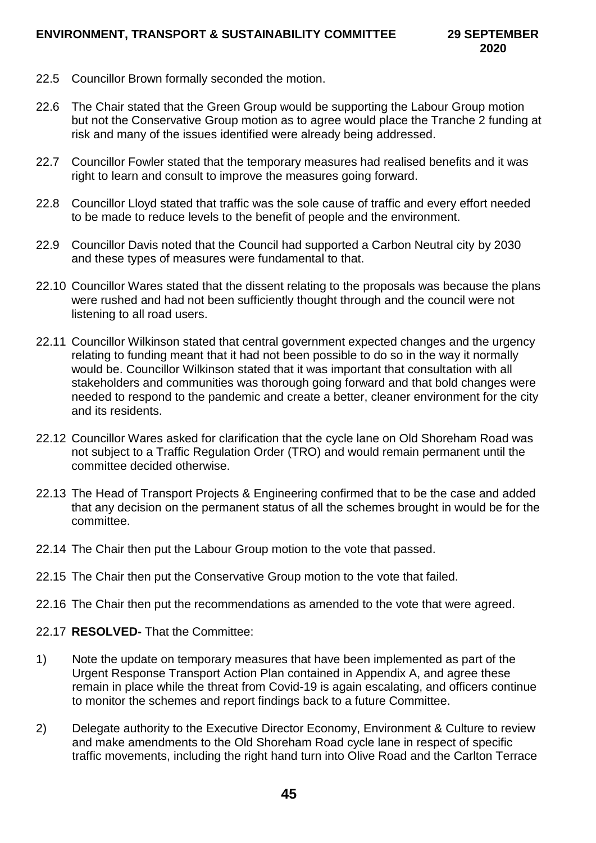- 22.5 Councillor Brown formally seconded the motion.
- 22.6 The Chair stated that the Green Group would be supporting the Labour Group motion but not the Conservative Group motion as to agree would place the Tranche 2 funding at risk and many of the issues identified were already being addressed.
- 22.7 Councillor Fowler stated that the temporary measures had realised benefits and it was right to learn and consult to improve the measures going forward.
- 22.8 Councillor Lloyd stated that traffic was the sole cause of traffic and every effort needed to be made to reduce levels to the benefit of people and the environment.
- 22.9 Councillor Davis noted that the Council had supported a Carbon Neutral city by 2030 and these types of measures were fundamental to that.
- 22.10 Councillor Wares stated that the dissent relating to the proposals was because the plans were rushed and had not been sufficiently thought through and the council were not listening to all road users.
- 22.11 Councillor Wilkinson stated that central government expected changes and the urgency relating to funding meant that it had not been possible to do so in the way it normally would be. Councillor Wilkinson stated that it was important that consultation with all stakeholders and communities was thorough going forward and that bold changes were needed to respond to the pandemic and create a better, cleaner environment for the city and its residents.
- 22.12 Councillor Wares asked for clarification that the cycle lane on Old Shoreham Road was not subject to a Traffic Regulation Order (TRO) and would remain permanent until the committee decided otherwise.
- 22.13 The Head of Transport Projects & Engineering confirmed that to be the case and added that any decision on the permanent status of all the schemes brought in would be for the committee.
- 22.14 The Chair then put the Labour Group motion to the vote that passed.
- 22.15 The Chair then put the Conservative Group motion to the vote that failed.
- 22.16 The Chair then put the recommendations as amended to the vote that were agreed.
- 22.17 **RESOLVED-** That the Committee:
- 1) Note the update on temporary measures that have been implemented as part of the Urgent Response Transport Action Plan contained in Appendix A, and agree these remain in place while the threat from Covid-19 is again escalating, and officers continue to monitor the schemes and report findings back to a future Committee.
- 2) Delegate authority to the Executive Director Economy, Environment & Culture to review and make amendments to the Old Shoreham Road cycle lane in respect of specific traffic movements, including the right hand turn into Olive Road and the Carlton Terrace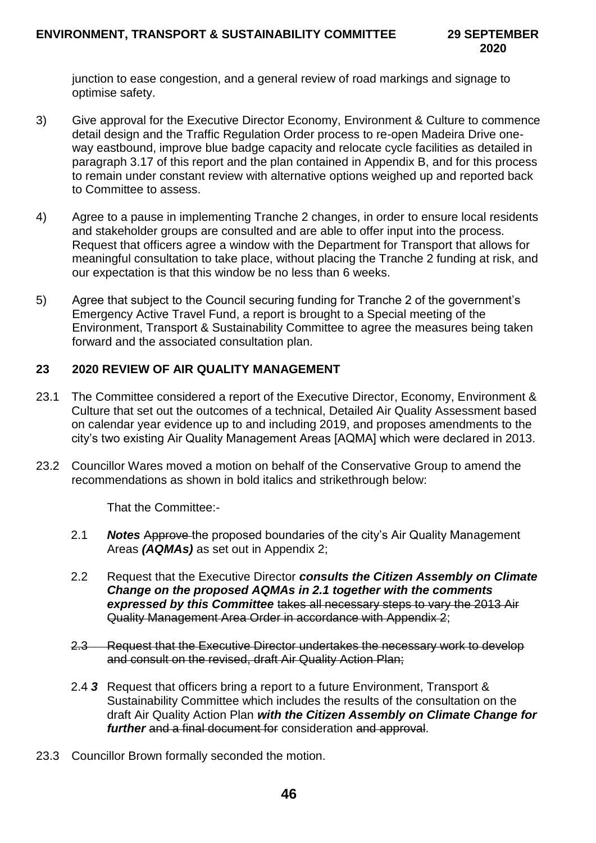junction to ease congestion, and a general review of road markings and signage to optimise safety.

- 3) Give approval for the Executive Director Economy, Environment & Culture to commence detail design and the Traffic Regulation Order process to re-open Madeira Drive oneway eastbound, improve blue badge capacity and relocate cycle facilities as detailed in paragraph 3.17 of this report and the plan contained in Appendix B, and for this process to remain under constant review with alternative options weighed up and reported back to Committee to assess.
- 4) Agree to a pause in implementing Tranche 2 changes, in order to ensure local residents and stakeholder groups are consulted and are able to offer input into the process. Request that officers agree a window with the Department for Transport that allows for meaningful consultation to take place, without placing the Tranche 2 funding at risk, and our expectation is that this window be no less than 6 weeks.
- 5) Agree that subject to the Council securing funding for Tranche 2 of the government's Emergency Active Travel Fund, a report is brought to a Special meeting of the Environment, Transport & Sustainability Committee to agree the measures being taken forward and the associated consultation plan.

# **23 2020 REVIEW OF AIR QUALITY MANAGEMENT**

- 23.1 The Committee considered a report of the Executive Director, Economy, Environment & Culture that set out the outcomes of a technical, Detailed Air Quality Assessment based on calendar year evidence up to and including 2019, and proposes amendments to the city's two existing Air Quality Management Areas [AQMA] which were declared in 2013.
- 23.2 Councillor Wares moved a motion on behalf of the Conservative Group to amend the recommendations as shown in bold italics and strikethrough below:

That the Committee:-

- 2.1 *Notes* Approve the proposed boundaries of the city's Air Quality Management Areas *(AQMAs)* as set out in Appendix 2;
- 2.2 Request that the Executive Director *consults the Citizen Assembly on Climate Change on the proposed AQMAs in 2.1 together with the comments expressed by this Committee* takes all necessary steps to vary the 2013 Air Quality Management Area Order in accordance with Appendix 2;
- 2.3 Request that the Executive Director undertakes the necessary work to develop and consult on the revised, draft Air Quality Action Plan;
- 2.4 *3* Request that officers bring a report to a future Environment, Transport & Sustainability Committee which includes the results of the consultation on the draft Air Quality Action Plan *with the Citizen Assembly on Climate Change for further* and a final document for consideration and approval.
- 23.3 Councillor Brown formally seconded the motion.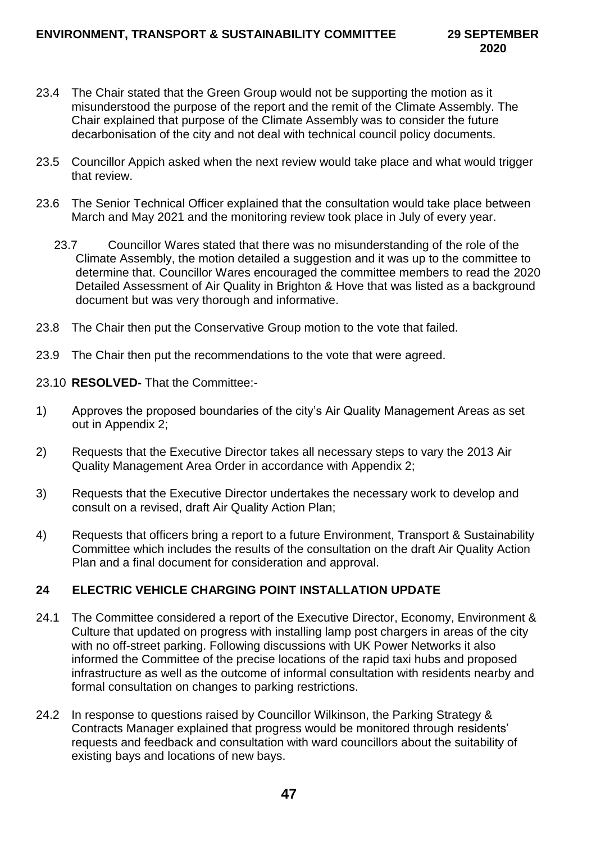- 23.4 The Chair stated that the Green Group would not be supporting the motion as it misunderstood the purpose of the report and the remit of the Climate Assembly. The Chair explained that purpose of the Climate Assembly was to consider the future decarbonisation of the city and not deal with technical council policy documents.
- 23.5 Councillor Appich asked when the next review would take place and what would trigger that review.
- 23.6 The Senior Technical Officer explained that the consultation would take place between March and May 2021 and the monitoring review took place in July of every year.
	- 23.7 Councillor Wares stated that there was no misunderstanding of the role of the Climate Assembly, the motion detailed a suggestion and it was up to the committee to determine that. Councillor Wares encouraged the committee members to read the 2020 Detailed Assessment of Air Quality in Brighton & Hove that was listed as a background document but was very thorough and informative.
- 23.8 The Chair then put the Conservative Group motion to the vote that failed.
- 23.9 The Chair then put the recommendations to the vote that were agreed.
- 23.10 **RESOLVED-** That the Committee:-
- 1) Approves the proposed boundaries of the city's Air Quality Management Areas as set out in Appendix 2;
- 2) Requests that the Executive Director takes all necessary steps to vary the 2013 Air Quality Management Area Order in accordance with Appendix 2;
- 3) Requests that the Executive Director undertakes the necessary work to develop and consult on a revised, draft Air Quality Action Plan;
- 4) Requests that officers bring a report to a future Environment, Transport & Sustainability Committee which includes the results of the consultation on the draft Air Quality Action Plan and a final document for consideration and approval.

# **24 ELECTRIC VEHICLE CHARGING POINT INSTALLATION UPDATE**

- 24.1 The Committee considered a report of the Executive Director, Economy, Environment & Culture that updated on progress with installing lamp post chargers in areas of the city with no off-street parking. Following discussions with UK Power Networks it also informed the Committee of the precise locations of the rapid taxi hubs and proposed infrastructure as well as the outcome of informal consultation with residents nearby and formal consultation on changes to parking restrictions.
- 24.2 In response to questions raised by Councillor Wilkinson, the Parking Strategy & Contracts Manager explained that progress would be monitored through residents' requests and feedback and consultation with ward councillors about the suitability of existing bays and locations of new bays.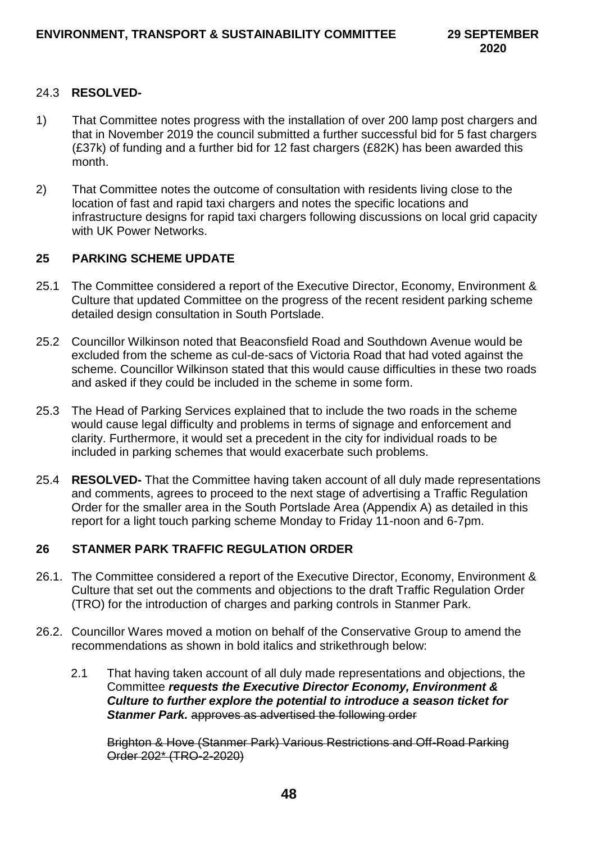## 24.3 **RESOLVED-**

- 1) That Committee notes progress with the installation of over 200 lamp post chargers and that in November 2019 the council submitted a further successful bid for 5 fast chargers (£37k) of funding and a further bid for 12 fast chargers (£82K) has been awarded this month.
- 2) That Committee notes the outcome of consultation with residents living close to the location of fast and rapid taxi chargers and notes the specific locations and infrastructure designs for rapid taxi chargers following discussions on local grid capacity with UK Power Networks.

# **25 PARKING SCHEME UPDATE**

- 25.1 The Committee considered a report of the Executive Director, Economy, Environment & Culture that updated Committee on the progress of the recent resident parking scheme detailed design consultation in South Portslade.
- 25.2 Councillor Wilkinson noted that Beaconsfield Road and Southdown Avenue would be excluded from the scheme as cul-de-sacs of Victoria Road that had voted against the scheme. Councillor Wilkinson stated that this would cause difficulties in these two roads and asked if they could be included in the scheme in some form.
- 25.3 The Head of Parking Services explained that to include the two roads in the scheme would cause legal difficulty and problems in terms of signage and enforcement and clarity. Furthermore, it would set a precedent in the city for individual roads to be included in parking schemes that would exacerbate such problems.
- 25.4 **RESOLVED-** That the Committee having taken account of all duly made representations and comments, agrees to proceed to the next stage of advertising a Traffic Regulation Order for the smaller area in the South Portslade Area (Appendix A) as detailed in this report for a light touch parking scheme Monday to Friday 11-noon and 6-7pm.

## **26 STANMER PARK TRAFFIC REGULATION ORDER**

- 26.1. The Committee considered a report of the Executive Director, Economy, Environment & Culture that set out the comments and objections to the draft Traffic Regulation Order (TRO) for the introduction of charges and parking controls in Stanmer Park.
- 26.2. Councillor Wares moved a motion on behalf of the Conservative Group to amend the recommendations as shown in bold italics and strikethrough below:
	- 2.1 That having taken account of all duly made representations and objections, the Committee *requests the Executive Director Economy, Environment & Culture to further explore the potential to introduce a season ticket for Stanmer Park.* approves as advertised the following order

Brighton & Hove (Stanmer Park) Various Restrictions and Off-Road Parking Order 202\* (TRO-2-2020)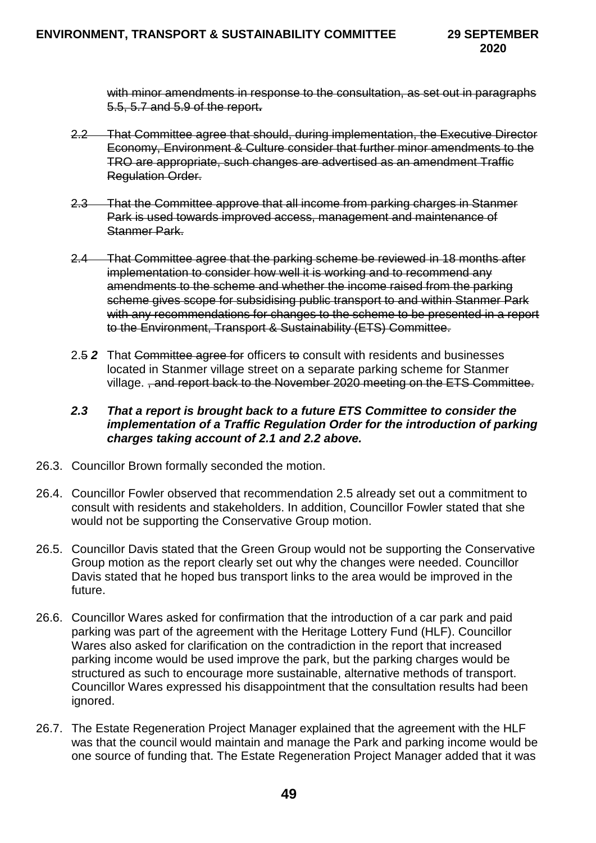with minor amendments in response to the consultation, as set out in paragraphs 5.5, 5.7 and 5.9 of the report**.**

- 2.2 That Committee agree that should, during implementation, the Executive Director Economy, Environment & Culture consider that further minor amendments to the TRO are appropriate, such changes are advertised as an amendment Traffic Regulation Order.
- 2.3 That the Committee approve that all income from parking charges in Stanmer Park is used towards improved access, management and maintenance of Stanmer Park.
- 2.4 That Committee agree that the parking scheme be reviewed in 18 months after implementation to consider how well it is working and to recommend any amendments to the scheme and whether the income raised from the parking scheme gives scope for subsidising public transport to and within Stanmer Park with any recommendations for changes to the scheme to be presented in a report to the Environment, Transport & Sustainability (ETS) Committee.
- 2.5 **2** That Committee agree for officers to consult with residents and businesses located in Stanmer village street on a separate parking scheme for Stanmer village. , and report back to the November 2020 meeting on the ETS Committee.

## *2.3 That a report is brought back to a future ETS Committee to consider the implementation of a Traffic Regulation Order for the introduction of parking charges taking account of 2.1 and 2.2 above.*

- 26.3. Councillor Brown formally seconded the motion.
- 26.4. Councillor Fowler observed that recommendation 2.5 already set out a commitment to consult with residents and stakeholders. In addition, Councillor Fowler stated that she would not be supporting the Conservative Group motion.
- 26.5. Councillor Davis stated that the Green Group would not be supporting the Conservative Group motion as the report clearly set out why the changes were needed. Councillor Davis stated that he hoped bus transport links to the area would be improved in the future.
- 26.6. Councillor Wares asked for confirmation that the introduction of a car park and paid parking was part of the agreement with the Heritage Lottery Fund (HLF). Councillor Wares also asked for clarification on the contradiction in the report that increased parking income would be used improve the park, but the parking charges would be structured as such to encourage more sustainable, alternative methods of transport. Councillor Wares expressed his disappointment that the consultation results had been ignored.
- 26.7. The Estate Regeneration Project Manager explained that the agreement with the HLF was that the council would maintain and manage the Park and parking income would be one source of funding that. The Estate Regeneration Project Manager added that it was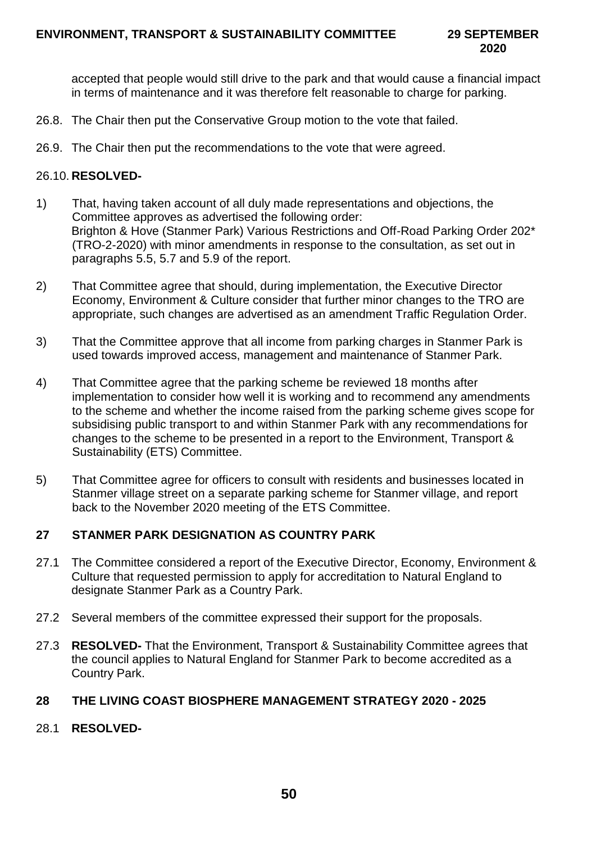accepted that people would still drive to the park and that would cause a financial impact in terms of maintenance and it was therefore felt reasonable to charge for parking.

- 26.8. The Chair then put the Conservative Group motion to the vote that failed.
- 26.9. The Chair then put the recommendations to the vote that were agreed.

## 26.10. **RESOLVED-**

- 1) That, having taken account of all duly made representations and objections, the Committee approves as advertised the following order: Brighton & Hove (Stanmer Park) Various Restrictions and Off-Road Parking Order 202\* (TRO-2-2020) with minor amendments in response to the consultation, as set out in paragraphs 5.5, 5.7 and 5.9 of the report.
- 2) That Committee agree that should, during implementation, the Executive Director Economy, Environment & Culture consider that further minor changes to the TRO are appropriate, such changes are advertised as an amendment Traffic Regulation Order.
- 3) That the Committee approve that all income from parking charges in Stanmer Park is used towards improved access, management and maintenance of Stanmer Park.
- 4) That Committee agree that the parking scheme be reviewed 18 months after implementation to consider how well it is working and to recommend any amendments to the scheme and whether the income raised from the parking scheme gives scope for subsidising public transport to and within Stanmer Park with any recommendations for changes to the scheme to be presented in a report to the Environment, Transport & Sustainability (ETS) Committee.
- 5) That Committee agree for officers to consult with residents and businesses located in Stanmer village street on a separate parking scheme for Stanmer village, and report back to the November 2020 meeting of the ETS Committee.

# **27 STANMER PARK DESIGNATION AS COUNTRY PARK**

- 27.1 The Committee considered a report of the Executive Director, Economy, Environment & Culture that requested permission to apply for accreditation to Natural England to designate Stanmer Park as a Country Park.
- 27.2 Several members of the committee expressed their support for the proposals.
- 27.3 **RESOLVED-** That the Environment, Transport & Sustainability Committee agrees that the council applies to Natural England for Stanmer Park to become accredited as a Country Park.

## **28 THE LIVING COAST BIOSPHERE MANAGEMENT STRATEGY 2020 - 2025**

28.1 **RESOLVED-**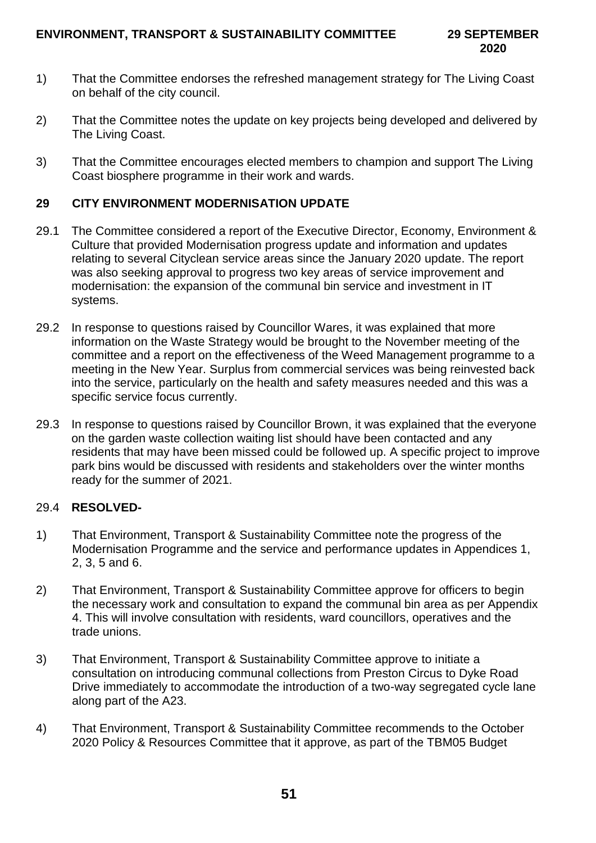- 1) That the Committee endorses the refreshed management strategy for The Living Coast on behalf of the city council.
- 2) That the Committee notes the update on key projects being developed and delivered by The Living Coast.
- 3) That the Committee encourages elected members to champion and support The Living Coast biosphere programme in their work and wards.

# **29 CITY ENVIRONMENT MODERNISATION UPDATE**

- 29.1 The Committee considered a report of the Executive Director, Economy, Environment & Culture that provided Modernisation progress update and information and updates relating to several Cityclean service areas since the January 2020 update. The report was also seeking approval to progress two key areas of service improvement and modernisation: the expansion of the communal bin service and investment in IT systems.
- 29.2 In response to questions raised by Councillor Wares, it was explained that more information on the Waste Strategy would be brought to the November meeting of the committee and a report on the effectiveness of the Weed Management programme to a meeting in the New Year. Surplus from commercial services was being reinvested back into the service, particularly on the health and safety measures needed and this was a specific service focus currently.
- 29.3 In response to questions raised by Councillor Brown, it was explained that the everyone on the garden waste collection waiting list should have been contacted and any residents that may have been missed could be followed up. A specific project to improve park bins would be discussed with residents and stakeholders over the winter months ready for the summer of 2021.

## 29.4 **RESOLVED-**

- 1) That Environment, Transport & Sustainability Committee note the progress of the Modernisation Programme and the service and performance updates in Appendices 1, 2, 3, 5 and 6.
- 2) That Environment, Transport & Sustainability Committee approve for officers to begin the necessary work and consultation to expand the communal bin area as per Appendix 4. This will involve consultation with residents, ward councillors, operatives and the trade unions.
- 3) That Environment, Transport & Sustainability Committee approve to initiate a consultation on introducing communal collections from Preston Circus to Dyke Road Drive immediately to accommodate the introduction of a two-way segregated cycle lane along part of the A23.
- 4) That Environment, Transport & Sustainability Committee recommends to the October 2020 Policy & Resources Committee that it approve, as part of the TBM05 Budget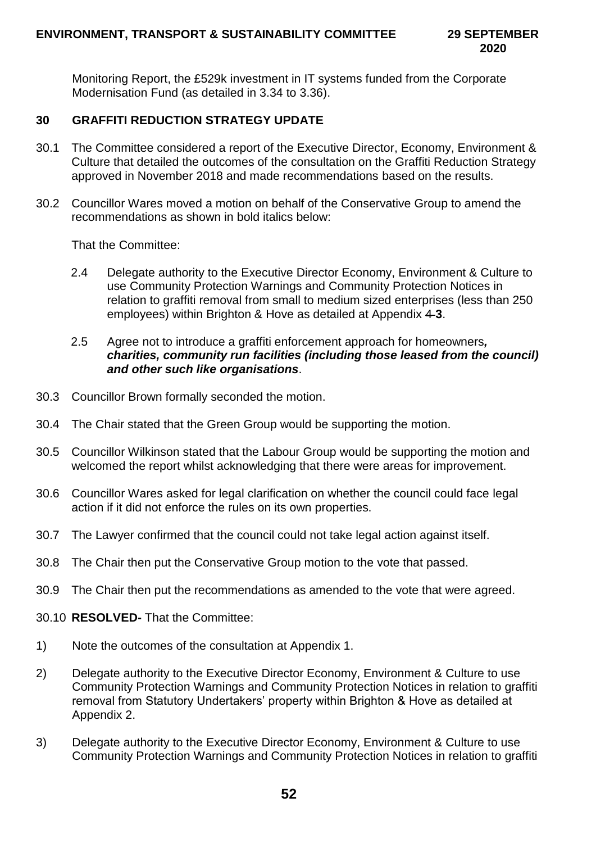Monitoring Report, the £529k investment in IT systems funded from the Corporate Modernisation Fund (as detailed in 3.34 to 3.36).

# **30 GRAFFITI REDUCTION STRATEGY UPDATE**

- 30.1 The Committee considered a report of the Executive Director, Economy, Environment & Culture that detailed the outcomes of the consultation on the Graffiti Reduction Strategy approved in November 2018 and made recommendations based on the results.
- 30.2 Councillor Wares moved a motion on behalf of the Conservative Group to amend the recommendations as shown in bold italics below:

That the Committee:

2.4 Delegate authority to the Executive Director Economy, Environment & Culture to use Community Protection Warnings and Community Protection Notices in relation to graffiti removal from small to medium sized enterprises (less than 250 employees) within Brighton & Hove as detailed at Appendix 4 **3**.

#### 2.5 Agree not to introduce a graffiti enforcement approach for homeowners*, charities, community run facilities (including those leased from the council) and other such like organisations*.

- 30.3 Councillor Brown formally seconded the motion.
- 30.4 The Chair stated that the Green Group would be supporting the motion.
- 30.5 Councillor Wilkinson stated that the Labour Group would be supporting the motion and welcomed the report whilst acknowledging that there were areas for improvement.
- 30.6 Councillor Wares asked for legal clarification on whether the council could face legal action if it did not enforce the rules on its own properties.
- 30.7 The Lawyer confirmed that the council could not take legal action against itself.
- 30.8 The Chair then put the Conservative Group motion to the vote that passed.
- 30.9 The Chair then put the recommendations as amended to the vote that were agreed.
- 30.10 **RESOLVED-** That the Committee:
- 1) Note the outcomes of the consultation at Appendix 1.
- 2) Delegate authority to the Executive Director Economy, Environment & Culture to use Community Protection Warnings and Community Protection Notices in relation to graffiti removal from Statutory Undertakers' property within Brighton & Hove as detailed at Appendix 2.
- 3) Delegate authority to the Executive Director Economy, Environment & Culture to use Community Protection Warnings and Community Protection Notices in relation to graffiti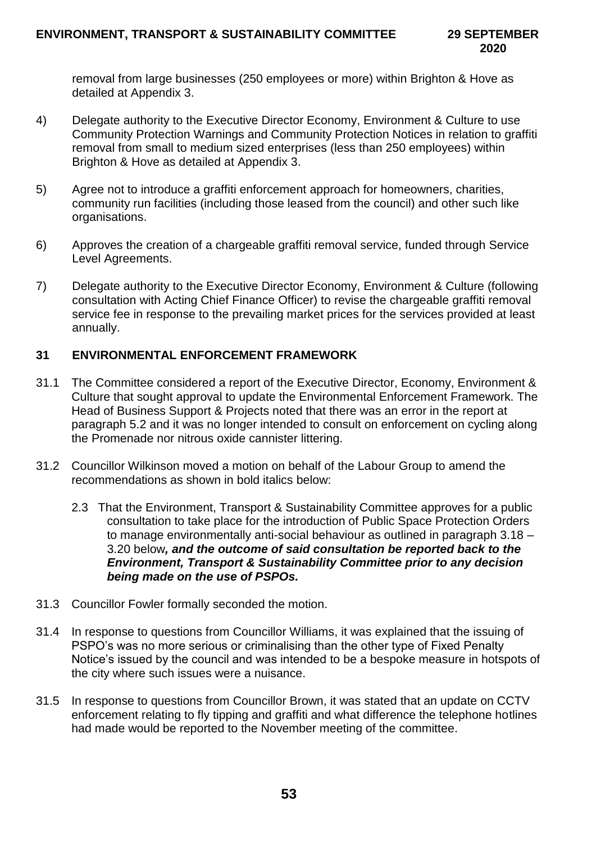removal from large businesses (250 employees or more) within Brighton & Hove as detailed at Appendix 3.

- 4) Delegate authority to the Executive Director Economy, Environment & Culture to use Community Protection Warnings and Community Protection Notices in relation to graffiti removal from small to medium sized enterprises (less than 250 employees) within Brighton & Hove as detailed at Appendix 3.
- 5) Agree not to introduce a graffiti enforcement approach for homeowners, charities, community run facilities (including those leased from the council) and other such like organisations.
- 6) Approves the creation of a chargeable graffiti removal service, funded through Service Level Agreements.
- 7) Delegate authority to the Executive Director Economy, Environment & Culture (following consultation with Acting Chief Finance Officer) to revise the chargeable graffiti removal service fee in response to the prevailing market prices for the services provided at least annually.

# **31 ENVIRONMENTAL ENFORCEMENT FRAMEWORK**

- 31.1 The Committee considered a report of the Executive Director, Economy, Environment & Culture that sought approval to update the Environmental Enforcement Framework. The Head of Business Support & Projects noted that there was an error in the report at paragraph 5.2 and it was no longer intended to consult on enforcement on cycling along the Promenade nor nitrous oxide cannister littering.
- 31.2 Councillor Wilkinson moved a motion on behalf of the Labour Group to amend the recommendations as shown in bold italics below:
	- 2.3 That the Environment, Transport & Sustainability Committee approves for a public consultation to take place for the introduction of Public Space Protection Orders to manage environmentally anti-social behaviour as outlined in paragraph 3.18 – 3.20 below*, and the outcome of said consultation be reported back to the Environment, Transport & Sustainability Committee prior to any decision being made on the use of PSPOs.*
- 31.3 Councillor Fowler formally seconded the motion.
- 31.4 In response to questions from Councillor Williams, it was explained that the issuing of PSPO's was no more serious or criminalising than the other type of Fixed Penalty Notice's issued by the council and was intended to be a bespoke measure in hotspots of the city where such issues were a nuisance.
- 31.5 In response to questions from Councillor Brown, it was stated that an update on CCTV enforcement relating to fly tipping and graffiti and what difference the telephone hotlines had made would be reported to the November meeting of the committee.